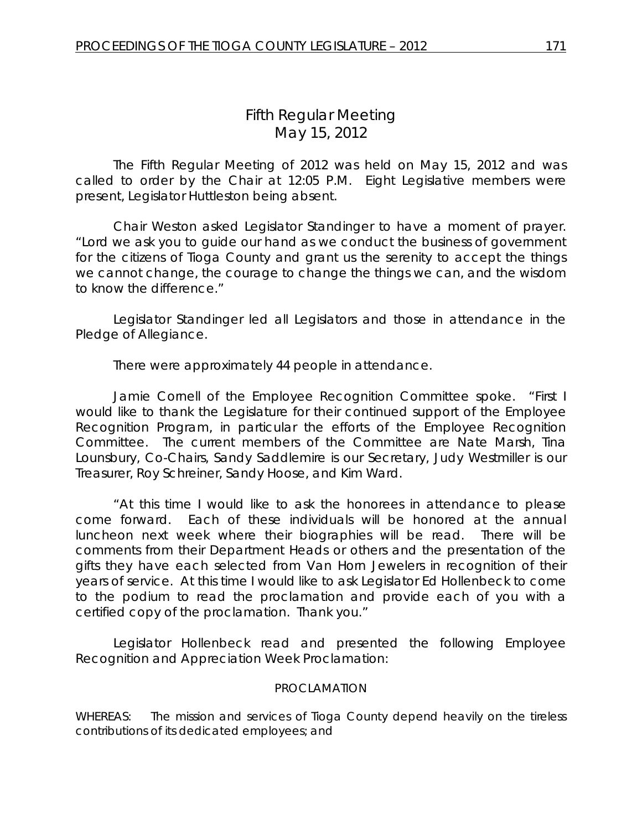# *Fifth Regular Meeting* May 15, 2012

The Fifth Regular Meeting of 2012 was held on May 15, 2012 and was called to order by the Chair at 12:05 P.M. Eight Legislative members were present, Legislator Huttleston being absent.

Chair Weston asked Legislator Standinger to have a moment of prayer. "Lord we ask you to guide our hand as we conduct the business of government for the citizens of Tioga County and grant us the serenity to accept the things we cannot change, the courage to change the things we can, and the wisdom to know the difference."

Legislator Standinger led all Legislators and those in attendance in the Pledge of Allegiance.

There were approximately 44 people in attendance.

Jamie Cornell of the Employee Recognition Committee spoke. "First I would like to thank the Legislature for their continued support of the Employee Recognition Program, in particular the efforts of the Employee Recognition Committee. The current members of the Committee are Nate Marsh, Tina Lounsbury, Co-Chairs, Sandy Saddlemire is our Secretary, Judy Westmiller is our Treasurer, Roy Schreiner, Sandy Hoose, and Kim Ward.

"At this time I would like to ask the honorees in attendance to please come forward. Each of these individuals will be honored at the annual luncheon next week where their biographies will be read. There will be comments from their Department Heads or others and the presentation of the gifts they have each selected from Van Horn Jewelers in recognition of their years of service. At this time I would like to ask Legislator Ed Hollenbeck to come to the podium to read the proclamation and provide each of you with a certified copy of the proclamation. Thank you."

Legislator Hollenbeck read and presented the following Employee Recognition and Appreciation Week Proclamation:

#### PROCLAMATION

WHEREAS: The mission and services of Tioga County depend heavily on the tireless contributions of its dedicated employees; and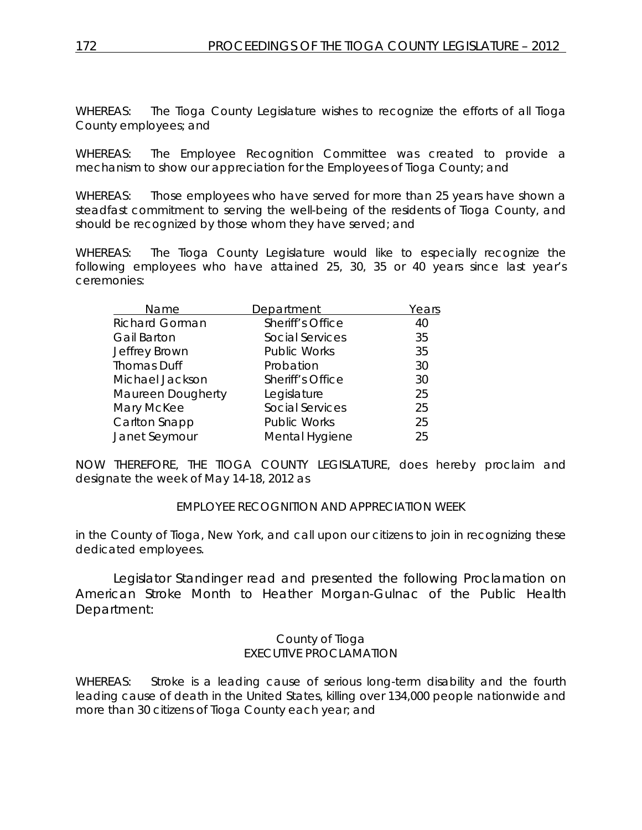WHEREAS: The Tioga County Legislature wishes to recognize the efforts of all Tioga County employees; and

WHEREAS: The Employee Recognition Committee was created to provide a mechanism to show our appreciation for the Employees of Tioga County; and

WHEREAS: Those employees who have served for more than 25 years have shown a steadfast commitment to serving the well-being of the residents of Tioga County, and should be recognized by those whom they have served; and

WHEREAS: The Tioga County Legislature would like to especially recognize the following employees who have attained 25, 30, 35 or 40 years since last year's ceremonies:

| Name                  | Department             | Years |
|-----------------------|------------------------|-------|
| <b>Richard Gorman</b> | Sheriff's Office       | 40    |
| <b>Gail Barton</b>    | <b>Social Services</b> | 35    |
| Jeffrey Brown         | <b>Public Works</b>    | 35    |
| <b>Thomas Duff</b>    | Probation              | 30    |
| Michael Jackson       | Sheriff's Office       | 30    |
| Maureen Dougherty     | Legislature            | 25    |
| Mary McKee            | Social Services        | 25    |
| Carlton Snapp         | <b>Public Works</b>    | 25    |
| Janet Seymour         | Mental Hygiene         | 25    |

NOW THEREFORE, THE TIOGA COUNTY LEGISLATURE, does hereby proclaim and designate the week of May 14-18, 2012 as

#### EMPLOYEE RECOGNITION AND APPRECIATION WEEK

in the County of Tioga, New York, and call upon our citizens to join in recognizing these dedicated employees.

Legislator Standinger read and presented the following Proclamation on American Stroke Month to Heather Morgan-Gulnac of the Public Health Department:

#### County of Tioga EXECUTIVE PROCLAMATION

WHEREAS: Stroke is a leading cause of serious long-term disability and the fourth leading cause of death in the United States, killing over 134,000 people nationwide and more than 30 citizens of Tioga County each year; and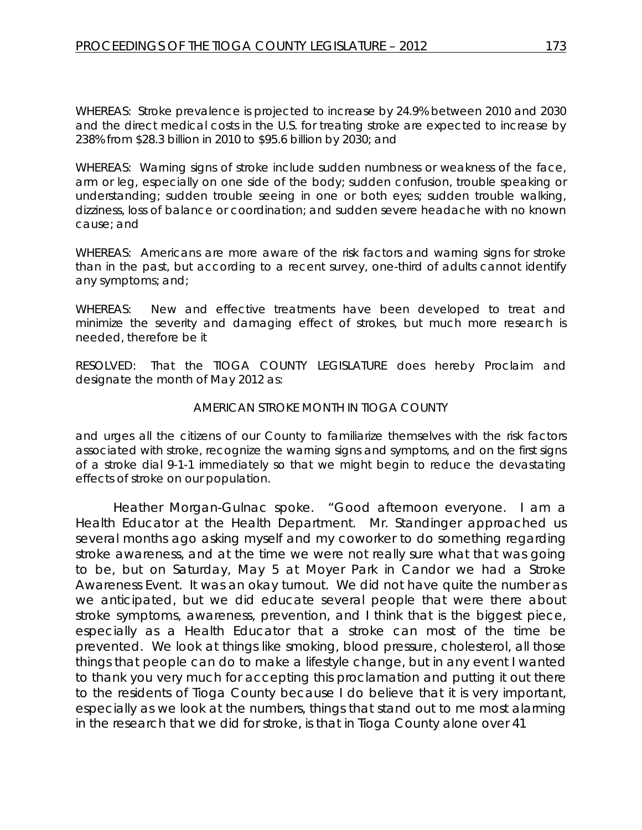WHEREAS: Stroke prevalence is projected to increase by 24.9% between 2010 and 2030 and the direct medical costs in the U.S. for treating stroke are expected to increase by 238% from \$28.3 billion in 2010 to \$95.6 billion by 2030; and

WHEREAS: Warning signs of stroke include sudden numbness or weakness of the face, arm or leg, especially on one side of the body; sudden confusion, trouble speaking or understanding; sudden trouble seeing in one or both eyes; sudden trouble walking, dizziness, loss of balance or coordination; and sudden severe headache with no known cause; and

WHEREAS: Americans are more aware of the risk factors and warning signs for stroke than in the past, but according to a recent survey, one-third of adults cannot identify any symptoms; and;

WHEREAS: New and effective treatments have been developed to treat and minimize the severity and damaging effect of strokes, but much more research is needed, therefore be it

RESOLVED: That the TIOGA COUNTY LEGISLATURE does hereby Proclaim and designate the month of May 2012 as:

#### *AMERICAN STROKE MONTH IN TIOGA COUNTY*

and urges all the citizens of our County to familiarize themselves with the risk factors associated with stroke, recognize the warning signs and symptoms, and on the first signs of a stroke dial 9-1-1 immediately so that we might begin to reduce the devastating effects of stroke on our population.

Heather Morgan-Gulnac spoke. "Good afternoon everyone. I am a Health Educator at the Health Department. Mr. Standinger approached us several months ago asking myself and my coworker to do something regarding stroke awareness, and at the time we were not really sure what that was going to be, but on Saturday, May 5 at Moyer Park in Candor we had a Stroke Awareness Event. It was an okay turnout. We did not have quite the number as we anticipated, but we did educate several people that were there about stroke symptoms, awareness, prevention, and I think that is the biggest piece, especially as a Health Educator that a stroke can most of the time be prevented. We look at things like smoking, blood pressure, cholesterol, all those things that people can do to make a lifestyle change, but in any event I wanted to thank you very much for accepting this proclamation and putting it out there to the residents of Tioga County because I do believe that it is very important, especially as we look at the numbers, things that stand out to me most alarming in the research that we did for stroke, is that in Tioga County alone over 41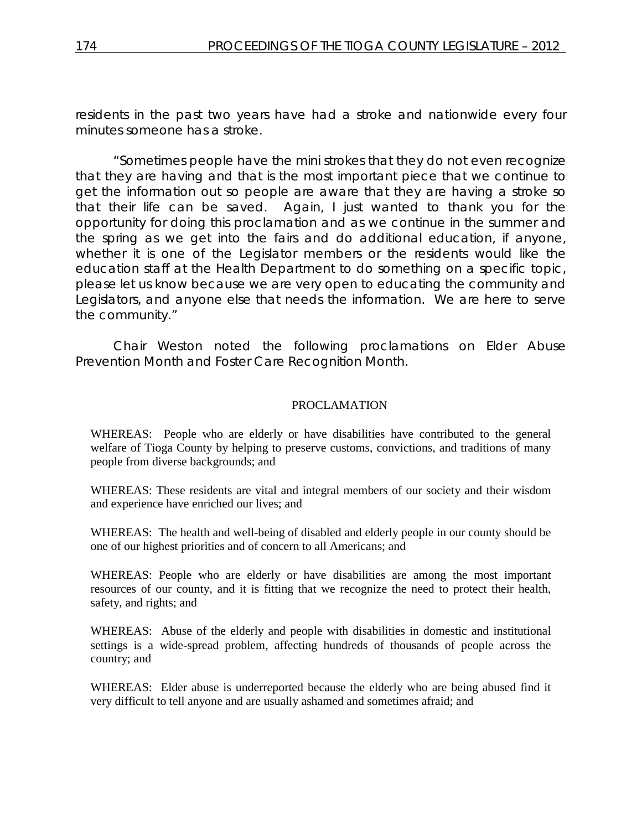residents in the past two years have had a stroke and nationwide every four minutes someone has a stroke.

"Sometimes people have the mini strokes that they do not even recognize that they are having and that is the most important piece that we continue to get the information out so people are aware that they are having a stroke so that their life can be saved. Again, I just wanted to thank you for the opportunity for doing this proclamation and as we continue in the summer and the spring as we get into the fairs and do additional education, if anyone, whether it is one of the Legislator members or the residents would like the education staff at the Health Department to do something on a specific topic, please let us know because we are very open to educating the community and Legislators, and anyone else that needs the information. We are here to serve the community."

Chair Weston noted the following proclamations on Elder Abuse Prevention Month and Foster Care Recognition Month.

#### PROCLAMATION

WHEREAS: People who are elderly or have disabilities have contributed to the general welfare of Tioga County by helping to preserve customs, convictions, and traditions of many people from diverse backgrounds; and

WHEREAS: These residents are vital and integral members of our society and their wisdom and experience have enriched our lives; and

WHEREAS: The health and well-being of disabled and elderly people in our county should be one of our highest priorities and of concern to all Americans; and

WHEREAS: People who are elderly or have disabilities are among the most important resources of our county, and it is fitting that we recognize the need to protect their health, safety, and rights; and

WHEREAS: Abuse of the elderly and people with disabilities in domestic and institutional settings is a wide-spread problem, affecting hundreds of thousands of people across the country; and

WHEREAS: Elder abuse is underreported because the elderly who are being abused find it very difficult to tell anyone and are usually ashamed and sometimes afraid; and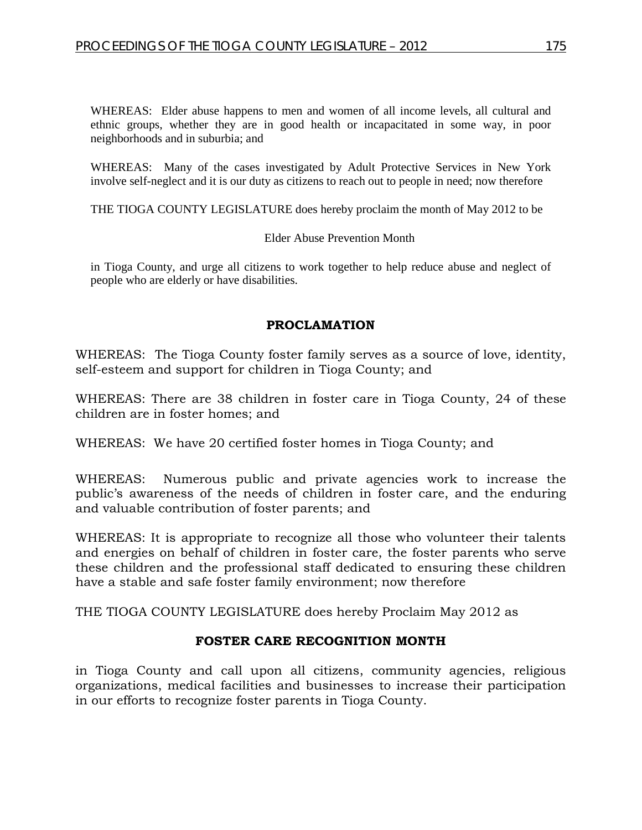WHEREAS: Elder abuse happens to men and women of all income levels, all cultural and ethnic groups, whether they are in good health or incapacitated in some way, in poor neighborhoods and in suburbia; and

WHEREAS: Many of the cases investigated by Adult Protective Services in New York involve self-neglect and it is our duty as citizens to reach out to people in need; now therefore

THE TIOGA COUNTY LEGISLATURE does hereby proclaim the month of May 2012 to be

Elder Abuse Prevention Month

in Tioga County, and urge all citizens to work together to help reduce abuse and neglect of people who are elderly or have disabilities.

#### **PROCLAMATION**

WHEREAS: The Tioga County foster family serves as a source of love, identity, self-esteem and support for children in Tioga County; and

WHEREAS: There are 38 children in foster care in Tioga County, 24 of these children are in foster homes; and

WHEREAS: We have 20 certified foster homes in Tioga County; and

WHEREAS: Numerous public and private agencies work to increase the public's awareness of the needs of children in foster care, and the enduring and valuable contribution of foster parents; and

WHEREAS: It is appropriate to recognize all those who volunteer their talents and energies on behalf of children in foster care, the foster parents who serve these children and the professional staff dedicated to ensuring these children have a stable and safe foster family environment; now therefore

THE TIOGA COUNTY LEGISLATURE does hereby Proclaim May 2012 as

#### **FOSTER CARE RECOGNITION MONTH**

in Tioga County and call upon all citizens, community agencies, religious organizations, medical facilities and businesses to increase their participation in our efforts to recognize foster parents in Tioga County.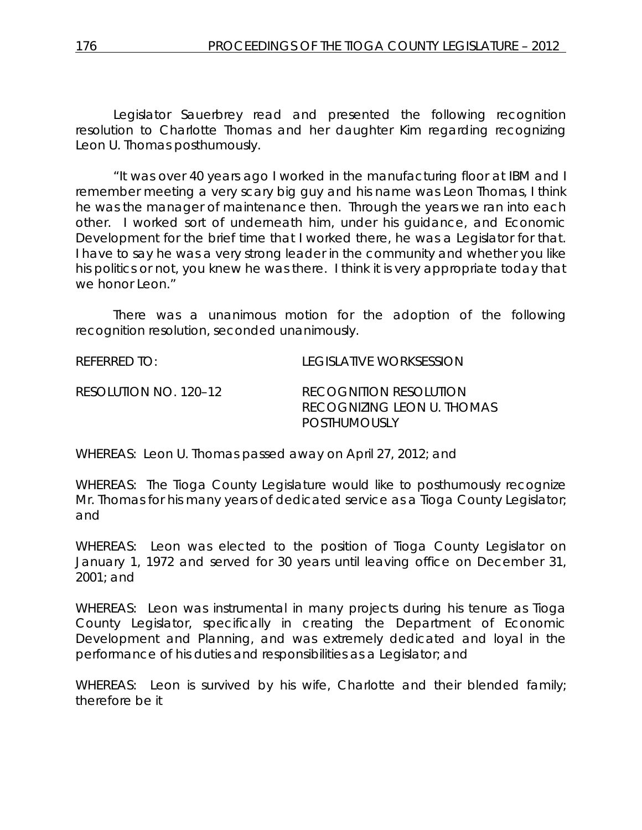Legislator Sauerbrey read and presented the following recognition resolution to Charlotte Thomas and her daughter Kim regarding recognizing Leon U. Thomas posthumously.

"It was over 40 years ago I worked in the manufacturing floor at IBM and I remember meeting a very scary big guy and his name was Leon Thomas, I think he was the manager of maintenance then. Through the years we ran into each other. I worked sort of underneath him, under his guidance, and Economic Development for the brief time that I worked there, he was a Legislator for that. I have to say he was a very strong leader in the community and whether you like his politics or not, you knew he was there. I think it is very appropriate today that we honor Leon."

There was a unanimous motion for the adoption of the following recognition resolution, seconded unanimously.

REFERRED TO: LEGISLATIVE WORKSESSION RESOLUTION NO. 120–12 *RECOGNITION RESOLUTION RECOGNIZING LEON U. THOMAS POSTHUMOUSLY*

WHEREAS: Leon U. Thomas passed away on April 27, 2012; and

WHEREAS: The Tioga County Legislature would like to posthumously recognize Mr. Thomas for his many years of dedicated service as a Tioga County Legislator; and

WHEREAS: Leon was elected to the position of Tioga County Legislator on January 1, 1972 and served for 30 years until leaving office on December 31, 2001; and

WHEREAS: Leon was instrumental in many projects during his tenure as Tioga County Legislator, specifically in creating the Department of Economic Development and Planning, and was extremely dedicated and loyal in the performance of his duties and responsibilities as a Legislator; and

WHEREAS: Leon is survived by his wife, Charlotte and their blended family; therefore be it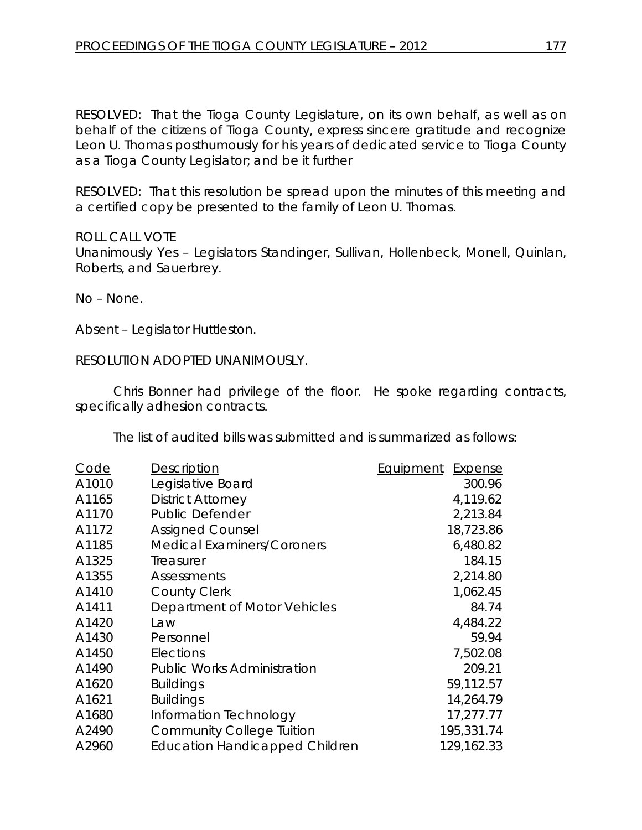RESOLVED: That the Tioga County Legislature, on its own behalf, as well as on behalf of the citizens of Tioga County, express sincere gratitude and recognize Leon U. Thomas posthumously for his years of dedicated service to Tioga County as a Tioga County Legislator; and be it further

RESOLVED: That this resolution be spread upon the minutes of this meeting and a certified copy be presented to the family of Leon U. Thomas.

#### ROLL CALL VOTE

Unanimously Yes – Legislators Standinger, Sullivan, Hollenbeck, Monell, Quinlan, Roberts, and Sauerbrey.

No – None.

Absent – Legislator Huttleston.

RESOLUTION ADOPTED UNANIMOUSLY.

Chris Bonner had privilege of the floor. He spoke regarding contracts, specifically adhesion contracts.

The list of audited bills was submitted and is summarized as follows:

| Code  | <b>Description</b>                    | Equipment<br><b>Expense</b> |
|-------|---------------------------------------|-----------------------------|
| A1010 | Legislative Board                     | 300.96                      |
| A1165 | <b>District Attorney</b>              | 4,119.62                    |
| A1170 | <b>Public Defender</b>                | 2,213.84                    |
| A1172 | <b>Assigned Counsel</b>               | 18,723.86                   |
| A1185 | <b>Medical Examiners/Coroners</b>     | 6,480.82                    |
| A1325 | Treasurer                             | 184.15                      |
| A1355 | Assessments                           | 2,214.80                    |
| A1410 | <b>County Clerk</b>                   | 1,062.45                    |
| A1411 | Department of Motor Vehicles          | 84.74                       |
| A1420 | Law                                   | 4,484.22                    |
| A1430 | Personnel                             | 59.94                       |
| A1450 | Elections                             | 7,502.08                    |
| A1490 | <b>Public Works Administration</b>    | 209.21                      |
| A1620 | <b>Buildings</b>                      | 59,112.57                   |
| A1621 | <b>Buildings</b>                      | 14,264.79                   |
| A1680 | Information Technology                | 17,277.77                   |
| A2490 | <b>Community College Tuition</b>      | 195,331.74                  |
| A2960 | <b>Education Handicapped Children</b> | 129,162.33                  |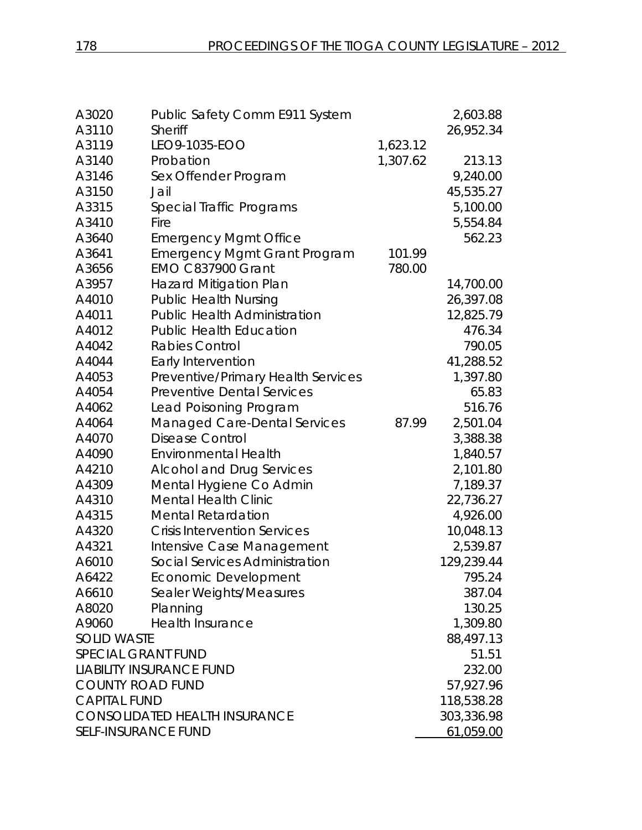| A3020<br>A3110             | Public Safety Comm E911 System<br><b>Sheriff</b> |          | 2,603.88   |
|----------------------------|--------------------------------------------------|----------|------------|
| A3119                      | LEO9-1035-EOO                                    | 1,623.12 | 26,952.34  |
| A3140                      | Probation                                        | 1,307.62 | 213.13     |
| A3146                      | Sex Offender Program                             |          | 9,240.00   |
| A3150                      | Jail                                             |          | 45,535.27  |
| A3315                      | Special Traffic Programs                         |          | 5,100.00   |
| A3410                      | Fire                                             |          | 5,554.84   |
| A3640                      | <b>Emergency Mgmt Office</b>                     |          | 562.23     |
| A3641                      | <b>Emergency Mgmt Grant Program</b>              | 101.99   |            |
| A3656                      | <b>EMO C837900 Grant</b>                         | 780.00   |            |
| A3957                      | <b>Hazard Mitigation Plan</b>                    |          | 14,700.00  |
| A4010                      | <b>Public Health Nursing</b>                     |          | 26,397.08  |
| A4011                      | <b>Public Health Administration</b>              |          | 12,825.79  |
| A4012                      | <b>Public Health Education</b>                   |          | 476.34     |
| A4042                      | Rabies Control                                   |          | 790.05     |
| A4044                      | Early Intervention                               |          | 41,288.52  |
| A4053                      | Preventive/Primary Health Services               |          | 1,397.80   |
| A4054                      | <b>Preventive Dental Services</b>                |          | 65.83      |
| A4062                      | Lead Poisoning Program                           |          | 516.76     |
| A4064                      | <b>Managed Care-Dental Services</b>              | 87.99    | 2,501.04   |
| A4070                      | <b>Disease Control</b>                           |          | 3,388.38   |
| A4090                      | <b>Environmental Health</b>                      |          | 1,840.57   |
| A4210                      | <b>Alcohol and Drug Services</b>                 |          | 2,101.80   |
| A4309                      | Mental Hygiene Co Admin                          |          | 7,189.37   |
| A4310                      | <b>Mental Health Clinic</b>                      |          | 22,736.27  |
| A4315                      | <b>Mental Retardation</b>                        |          | 4,926.00   |
| A4320                      | <b>Crisis Intervention Services</b>              |          | 10,048.13  |
| A4321                      | Intensive Case Management                        |          | 2,539.87   |
| A6010                      | Social Services Administration                   |          | 129,239.44 |
| A6422                      | Economic Development                             |          | 795.24     |
| A6610                      | Sealer Weights/Measures                          |          | 387.04     |
| A8020                      | Planning                                         |          | 130.25     |
| A9060                      | <b>Health Insurance</b>                          |          | 1,309.80   |
| <b>SOLID WASTE</b>         |                                                  |          | 88,497.13  |
| <b>SPECIAL GRANT FUND</b>  |                                                  |          | 51.51      |
|                            | <b>LIABILITY INSURANCE FUND</b>                  |          | 232.00     |
| <b>COUNTY ROAD FUND</b>    |                                                  |          | 57,927.96  |
| <b>CAPITAL FUND</b>        |                                                  |          | 118,538.28 |
|                            | <b>CONSOLIDATED HEALTH INSURANCE</b>             |          | 303,336.98 |
| <b>SELF-INSURANCE FUND</b> |                                                  |          | 61,059.00  |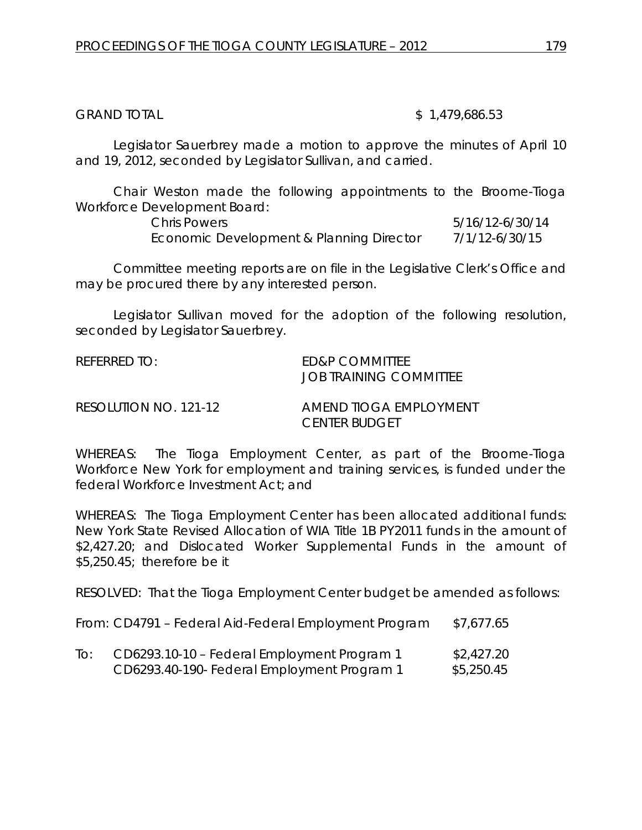GRAND TOTAL \$ 1,479,686.53

Legislator Sauerbrey made a motion to approve the minutes of April 10 and 19, 2012, seconded by Legislator Sullivan, and carried.

Chair Weston made the following appointments to the Broome-Tioga Workforce Development Board:

| Chris Powers                             | 5/16/12-6/30/14 |
|------------------------------------------|-----------------|
| Economic Development & Planning Director | 7/1/12-6/30/15  |

Committee meeting reports are on file in the Legislative Clerk's Office and may be procured there by any interested person.

Legislator Sullivan moved for the adoption of the following resolution, seconded by Legislator Sauerbrey.

| $R$ FFFRRFD TO:       | <b>FD&amp;P COMMITTEE</b><br>JOB TRAINING COMMITTEE |
|-----------------------|-----------------------------------------------------|
| RESOLUTION NO. 121-12 | AMEND TIOGA EMPLOYMENT<br><i>CENTER BUDGET</i>      |

WHEREAS: The Tioga Employment Center, as part of the Broome-Tioga Workforce New York for employment and training services, is funded under the federal Workforce Investment Act; and

WHEREAS: The Tioga Employment Center has been allocated additional funds: New York State Revised Allocation of WIA Title 1B PY2011 funds in the amount of \$2,427.20; and Dislocated Worker Supplemental Funds in the amount of \$5,250.45; therefore be it

RESOLVED: That the Tioga Employment Center budget be amended as follows:

From: CD4791 – Federal Aid-Federal Employment Program \$7,677.65

| CD6293.10-10 – Federal Employment Program 1 | \$2,427.20 |
|---------------------------------------------|------------|
| CD6293.40-190- Federal Employment Program 1 | \$5,250.45 |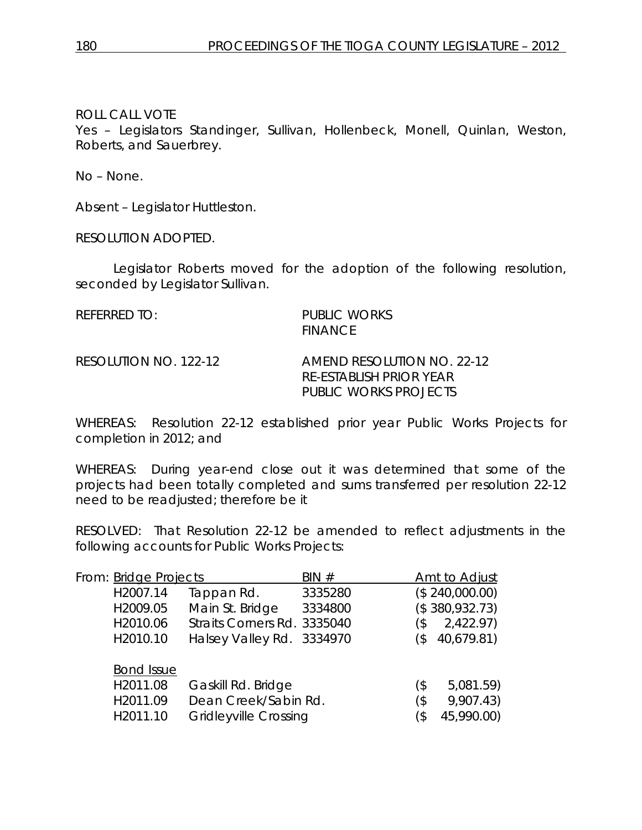# ROLL CALL VOTE

Yes – Legislators Standinger, Sullivan, Hollenbeck, Monell, Quinlan, Weston, Roberts, and Sauerbrey.

No – None.

Absent – Legislator Huttleston.

RESOLUTION ADOPTED.

Legislator Roberts moved for the adoption of the following resolution, seconded by Legislator Sullivan.

PUBLIC WORKS **FINANCE** 

RESOLUTION NO. 122-12 *AMEND RESOLUTION NO. 22-12 RE-ESTABLISH PRIOR YEAR PUBLIC WORKS PROJECTS*

WHEREAS: Resolution 22-12 established prior year Public Works Projects for completion in 2012; and

WHEREAS: During year-end close out it was determined that some of the projects had been totally completed and sums transferred per resolution 22-12 need to be readjusted; therefore be it

RESOLVED: That Resolution 22-12 be amended to reflect adjustments in the following accounts for Public Works Projects:

| From: Bridge Projects | BIN#                         |         | Amt to Adjust  |
|-----------------------|------------------------------|---------|----------------|
| H2007.14              | Tappan Rd.                   | 3335280 | (\$240,000.00) |
| H2009.05              | Main St. Bridge              | 3334800 | (\$380,932.73) |
| H2010.06              | Straits Corners Rd. 3335040  | (\$     | 2,422.97)      |
| H2010.10              | Halsey Valley Rd. 3334970    | (\$     | 40,679.81)     |
| <b>Bond Issue</b>     |                              |         |                |
| H2011.08              | Gaskill Rd. Bridge           | (\$     | 5,081.59)      |
| H2011.09              | Dean Creek/Sabin Rd.         | (\$     | 9,907.43)      |
| H2011.10              | <b>Gridleyville Crossing</b> | (\$     | 45,990.00)     |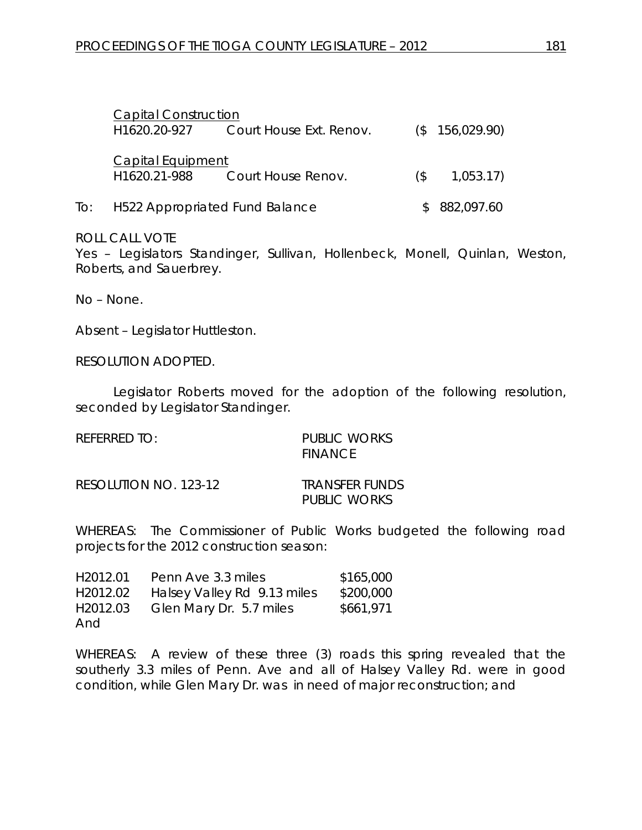| <b>Capital Construction</b>              |                                    |     |                |
|------------------------------------------|------------------------------------|-----|----------------|
| H1620.20-927                             | Court House Ext. Renov.            |     | (\$156,029.90) |
| <b>Capital Equipment</b><br>H1620.21-988 | Court House Renov.                 | (S) | 1,053.17)      |
|                                          | To: H522 Appropriated Fund Balance |     | 882,097.60     |

#### ROLL CALL VOTE

Yes – Legislators Standinger, Sullivan, Hollenbeck, Monell, Quinlan, Weston, Roberts, and Sauerbrey.

No – None.

Absent – Legislator Huttleston.

RESOLUTION ADOPTED.

Legislator Roberts moved for the adoption of the following resolution, seconded by Legislator Standinger.

| REFERRED TO:          | PUBLIC WORKS<br>FINANCE                      |
|-----------------------|----------------------------------------------|
| RESOLUTION NO. 123-12 | <i><b>TRANSFER FUNDS</b></i><br>PUBLIC WORKS |

WHEREAS: The Commissioner of Public Works budgeted the following road projects for the 2012 construction season:

| H <sub>2012</sub> .01 | Penn Ave 3.3 miles          | \$165,000 |
|-----------------------|-----------------------------|-----------|
| H2012.02              | Halsey Valley Rd 9.13 miles | \$200,000 |
| H2012.03              | Glen Mary Dr. 5.7 miles     | \$661,971 |
| And                   |                             |           |

WHEREAS: A review of these three (3) roads this spring revealed that the southerly 3.3 miles of Penn. Ave and all of Halsey Valley Rd. were in good condition, while Glen Mary Dr. was in need of major reconstruction; and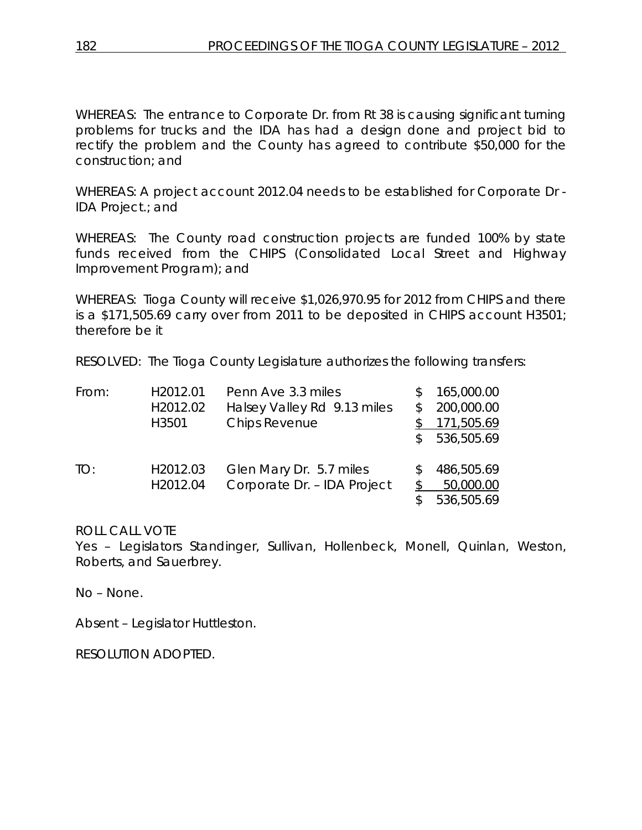WHEREAS: The entrance to Corporate Dr. from Rt 38 is causing significant turning problems for trucks and the IDA has had a design done and project bid to rectify the problem and the County has agreed to contribute \$50,000 for the construction; and

WHEREAS: A project account 2012.04 needs to be established for Corporate Dr - IDA Project.; and

WHEREAS: The County road construction projects are funded 100% by state funds received from the CHIPS (Consolidated Local Street and Highway Improvement Program); and

WHEREAS: Tioga County will receive \$1,026,970.95 for 2012 from CHIPS and there is a \$171,505.69 carry over from 2011 to be deposited in CHIPS account H3501; therefore be it

RESOLVED: The Tioga County Legislature authorizes the following transfers:

| From: | H2012.01 | Penn Ave 3.3 miles          | 165,000.00 |
|-------|----------|-----------------------------|------------|
|       | H2012.02 | Halsey Valley Rd 9.13 miles | 200,000.00 |
|       | H3501    | <b>Chips Revenue</b>        | 171,505.69 |
|       |          |                             | 536,505.69 |
| TO:   | H2012.03 | Glen Mary Dr. 5.7 miles     | 486,505.69 |
|       | H2012.04 | Corporate Dr. - IDA Project | 50,000.00  |
|       |          |                             | 536,505.69 |

ROLL CALL VOTE

Yes – Legislators Standinger, Sullivan, Hollenbeck, Monell, Quinlan, Weston, Roberts, and Sauerbrey.

No – None.

Absent – Legislator Huttleston.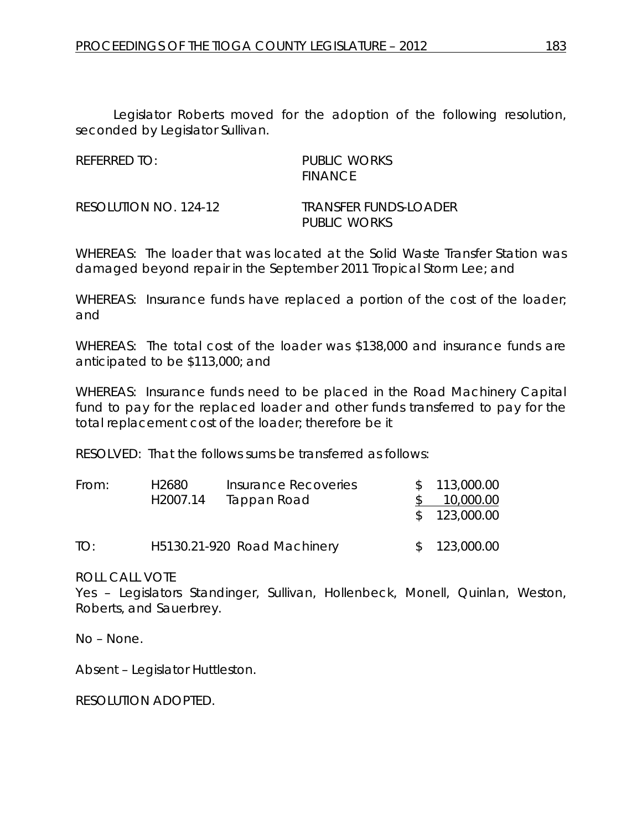Legislator Roberts moved for the adoption of the following resolution, seconded by Legislator Sullivan.

REFERRED TO: PUBLIC WORKS FINANCE

RESOLUTION NO. 124-12 *TRANSFER FUNDS-LOADER PUBLIC WORKS*

WHEREAS: The loader that was located at the Solid Waste Transfer Station was damaged beyond repair in the September 2011 Tropical Storm Lee; and

WHEREAS: Insurance funds have replaced a portion of the cost of the loader; and

WHEREAS: The total cost of the loader was \$138,000 and insurance funds are anticipated to be \$113,000; and

WHEREAS: Insurance funds need to be placed in the Road Machinery Capital fund to pay for the replaced loader and other funds transferred to pay for the total replacement cost of the loader; therefore be it

RESOLVED: That the follows sums be transferred as follows:

| From: | H2680 | Insurance Recoveries<br>H <sub>2007</sub> .14<br>Tappan Road |  | \$113,000.00<br>10,000.00 |
|-------|-------|--------------------------------------------------------------|--|---------------------------|
|       |       |                                                              |  | \$123,000.00              |
| TO:   |       | H5130.21-920 Road Machinery                                  |  | \$123,000.00              |

ROLL CALL VOTE

Yes – Legislators Standinger, Sullivan, Hollenbeck, Monell, Quinlan, Weston, Roberts, and Sauerbrey.

No – None.

Absent – Legislator Huttleston.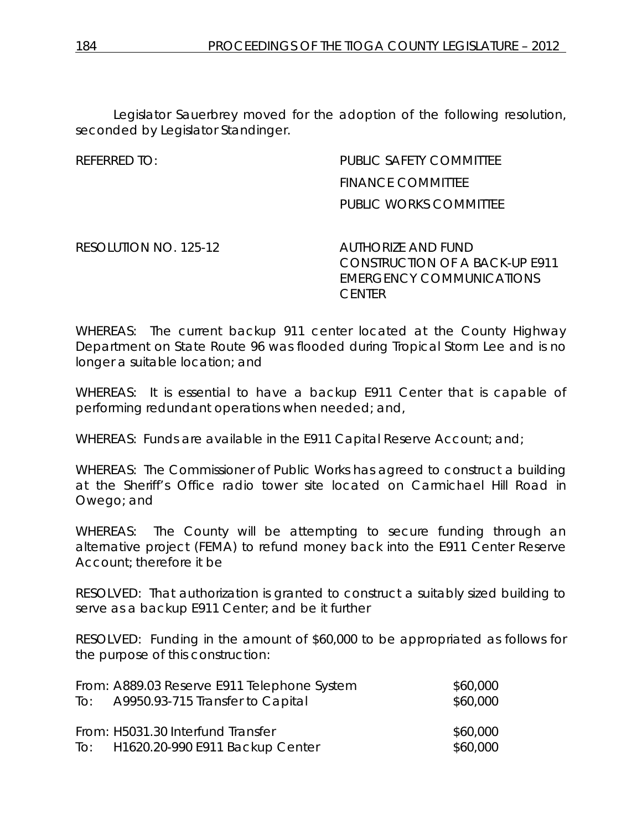Legislator Sauerbrey moved for the adoption of the following resolution, seconded by Legislator Standinger.

# REFERRED TO: PUBLIC SAFETY COMMITTEE FINANCE COMMITTEE PUBLIC WORKS COMMITTEE

RESOLUTION NO. 125-12 *AUTHORIZE AND FUND* 

*CONSTRUCTION OF A BACK-UP E911 EMERGENCY COMMUNICATIONS CENTER*

WHEREAS: The current backup 911 center located at the County Highway Department on State Route 96 was flooded during Tropical Storm Lee and is no longer a suitable location; and

WHEREAS: It is essential to have a backup E911 Center that is capable of performing redundant operations when needed; and,

WHEREAS: Funds are available in the E911 Capital Reserve Account; and;

WHEREAS: The Commissioner of Public Works has agreed to construct a building at the Sheriff's Office radio tower site located on Carmichael Hill Road in Owego; and

WHEREAS: The County will be attempting to secure funding through an alternative project (FEMA) to refund money back into the E911 Center Reserve Account; therefore it be

RESOLVED: That authorization is granted to construct a suitably sized building to serve as a backup E911 Center; and be it further

RESOLVED: Funding in the amount of \$60,000 to be appropriated as follows for the purpose of this construction:

| From: A889.03 Reserve E911 Telephone System | \$60,000 |
|---------------------------------------------|----------|
| To: A9950.93-715 Transfer to Capital        | \$60,000 |
|                                             |          |
|                                             |          |
| From: H5031.30 Interfund Transfer           | \$60,000 |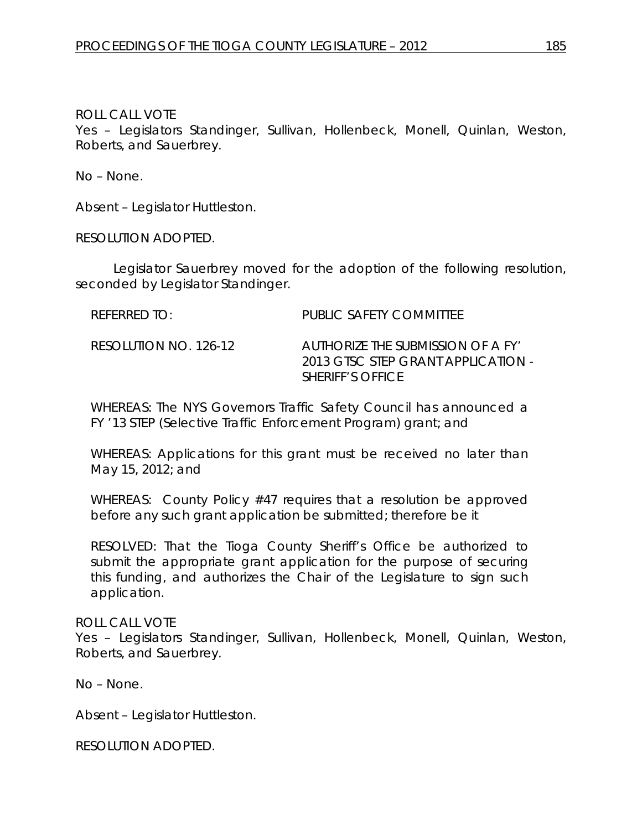#### ROLL CALL VOTE

Yes – Legislators Standinger, Sullivan, Hollenbeck, Monell, Quinlan, Weston, Roberts, and Sauerbrey.

No – None.

Absent – Legislator Huttleston.

RESOLUTION ADOPTED.

Legislator Sauerbrey moved for the adoption of the following resolution, seconded by Legislator Standinger.

| REFERRED TO:          | PUBLIC SAFETY COMMITTEE                                                                            |
|-----------------------|----------------------------------------------------------------------------------------------------|
| RESOLUTION NO. 126-12 | AUTHORIZE THE SUBMISSION OF A FY'<br>2013 GISC SIEP GRANI APPLICATION -<br><b>SHERIFF'S OFFICE</b> |

WHEREAS: The NYS Governors Traffic Safety Council has announced a FY '13 STEP (Selective Traffic Enforcement Program) grant; and

WHEREAS: Applications for this grant must be received no later than May 15, 2012; and

WHEREAS: County Policy #47 requires that a resolution be approved before any such grant application be submitted; therefore be it

RESOLVED: That the Tioga County Sheriff's Office be authorized to submit the appropriate grant application for the purpose of securing this funding, and authorizes the Chair of the Legislature to sign such application.

ROLL CALL VOTE

Yes – Legislators Standinger, Sullivan, Hollenbeck, Monell, Quinlan, Weston, Roberts, and Sauerbrey.

No – None.

Absent – Legislator Huttleston.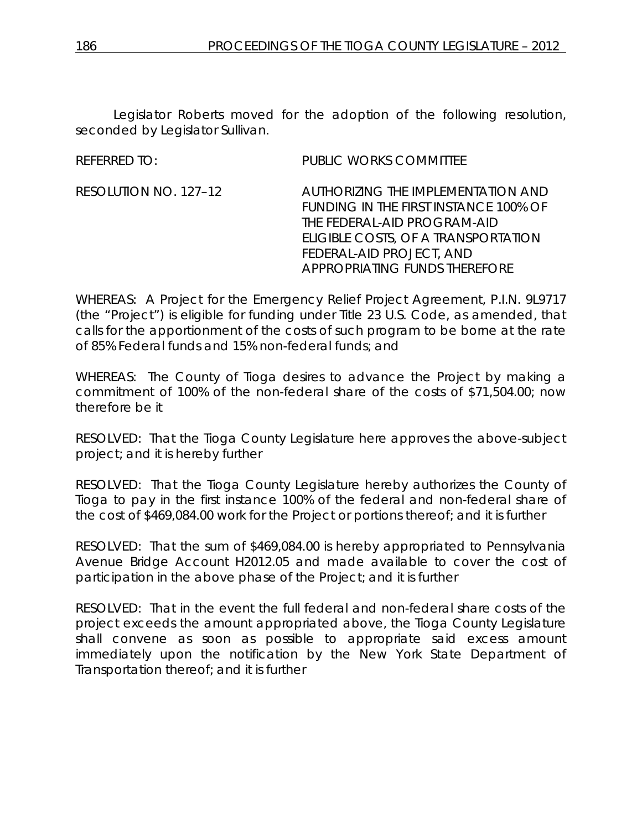Legislator Roberts moved for the adoption of the following resolution, seconded by Legislator Sullivan.

REFERRED TO: PUBLIC WORKS COMMITTEE

RESOLUTION NO. 127–12 *AUTHORIZING THE IMPLEMENTATION AND FUNDING IN THE FIRST INSTANCE 100% OF THE FEDERAL-AID PROGRAM-AID ELIGIBLE COSTS, OF A TRANSPORTATION FEDERAL-AID PROJECT, AND APPROPRIATING FUNDS THEREFORE*

WHEREAS: A Project for the Emergency Relief Project Agreement, P.I.N. 9L9717 (the "Project") is eligible for funding under Title 23 U.S. Code, as amended, that calls for the apportionment of the costs of such program to be borne at the rate of 85% Federal funds and 15% non-federal funds; and

WHEREAS: The County of Tioga desires to advance the Project by making a commitment of 100% of the non-federal share of the costs of \$71,504.00; now therefore be it

RESOLVED: That the Tioga County Legislature here approves the above-subject project; and it is hereby further

RESOLVED: That the Tioga County Legislature hereby authorizes the County of Tioga to pay in the first instance 100% of the federal and non-federal share of the cost of \$469,084.00 work for the Project or portions thereof; and it is further

RESOLVED: That the sum of \$469,084.00 is hereby appropriated to Pennsylvania Avenue Bridge Account H2012.05 and made available to cover the cost of participation in the above phase of the Project; and it is further

RESOLVED: That in the event the full federal and non-federal share costs of the project exceeds the amount appropriated above, the Tioga County Legislature shall convene as soon as possible to appropriate said excess amount immediately upon the notification by the New York State Department of Transportation thereof; and it is further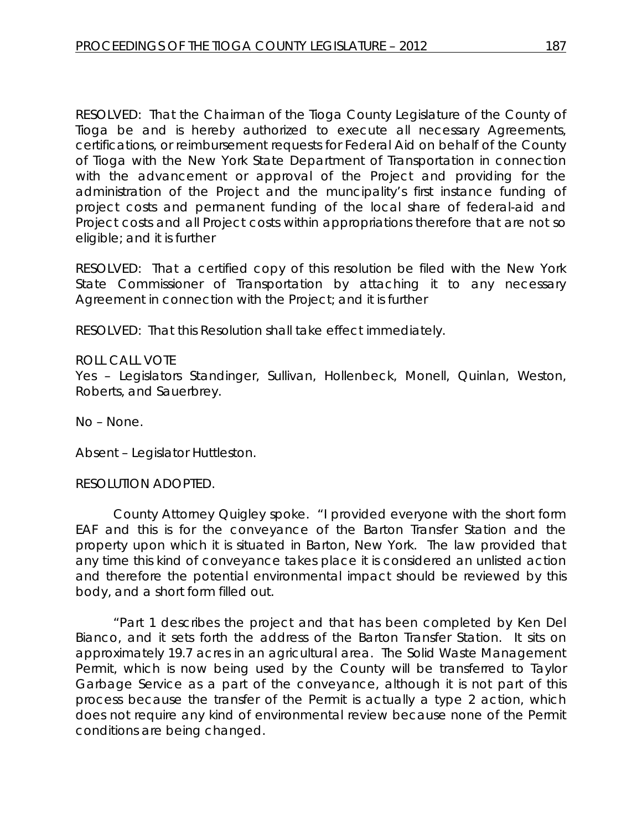RESOLVED: That the Chairman of the Tioga County Legislature of the County of Tioga be and is hereby authorized to execute all necessary Agreements, certifications, or reimbursement requests for Federal Aid on behalf of the County of Tioga with the New York State Department of Transportation in connection with the advancement or approval of the Project and providing for the administration of the Project and the muncipality's first instance funding of project costs and permanent funding of the local share of federal-aid and Project costs and all Project costs within appropriations therefore that are not so eligible; and it is further

RESOLVED: That a certified copy of this resolution be filed with the New York State Commissioner of Transportation by attaching it to any necessary Agreement in connection with the Project; and it is further

RESOLVED: That this Resolution shall take effect immediately.

#### ROLL CALL VOTE

Yes – Legislators Standinger, Sullivan, Hollenbeck, Monell, Quinlan, Weston, Roberts, and Sauerbrey.

No – None.

Absent – Legislator Huttleston.

#### RESOLUTION ADOPTED.

County Attorney Quigley spoke. "I provided everyone with the short form EAF and this is for the conveyance of the Barton Transfer Station and the property upon which it is situated in Barton, New York. The law provided that any time this kind of conveyance takes place it is considered an unlisted action and therefore the potential environmental impact should be reviewed by this body, and a short form filled out.

"Part 1 describes the project and that has been completed by Ken Del Bianco, and it sets forth the address of the Barton Transfer Station. It sits on approximately 19.7 acres in an agricultural area. The Solid Waste Management Permit, which is now being used by the County will be transferred to Taylor Garbage Service as a part of the conveyance, although it is not part of this process because the transfer of the Permit is actually a type 2 action, which does not require any kind of environmental review because none of the Permit conditions are being changed.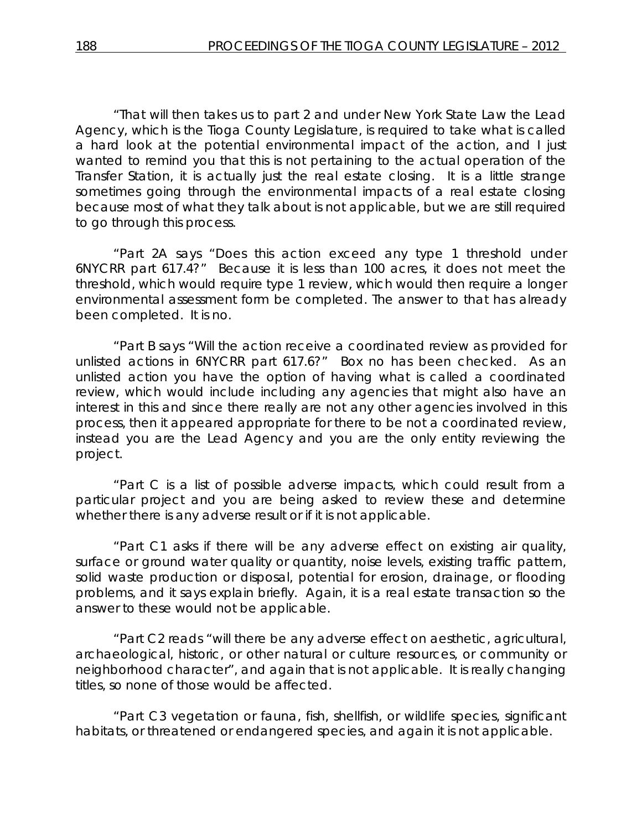"That will then takes us to part 2 and under New York State Law the Lead Agency, which is the Tioga County Legislature, is required to take what is called a hard look at the potential environmental impact of the action, and I just wanted to remind you that this is not pertaining to the actual operation of the Transfer Station, it is actually just the real estate closing. It is a little strange sometimes going through the environmental impacts of a real estate closing because most of what they talk about is not applicable, but we are still required to go through this process.

"Part 2A says "Does this action exceed any type 1 threshold under 6NYCRR part 617.4?" Because it is less than 100 acres, it does not meet the threshold, which would require type 1 review, which would then require a longer environmental assessment form be completed. The answer to that has already been completed. It is no.

"Part B says "Will the action receive a coordinated review as provided for unlisted actions in 6NYCRR part 617.6?" Box no has been checked. As an unlisted action you have the option of having what is called a coordinated review, which would include including any agencies that might also have an interest in this and since there really are not any other agencies involved in this process, then it appeared appropriate for there to be not a coordinated review, instead you are the Lead Agency and you are the only entity reviewing the project.

"Part C is a list of possible adverse impacts, which could result from a particular project and you are being asked to review these and determine whether there is any adverse result or if it is not applicable.

"Part C1 asks if there will be any adverse effect on existing air quality, surface or ground water quality or quantity, noise levels, existing traffic pattern, solid waste production or disposal, potential for erosion, drainage, or flooding problems, and it says explain briefly. Again, it is a real estate transaction so the answer to these would not be applicable.

"Part C2 reads "will there be any adverse effect on aesthetic, agricultural, archaeological, historic, or other natural or culture resources, or community or neighborhood character", and again that is not applicable. It is really changing titles, so none of those would be affected.

"Part C3 vegetation or fauna, fish, shellfish, or wildlife species, significant habitats, or threatened or endangered species, and again it is not applicable.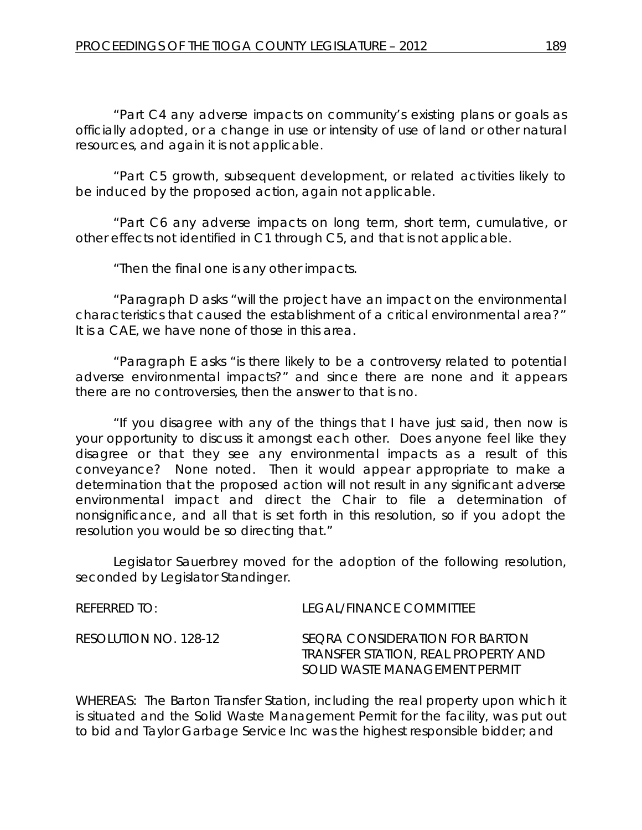"Part C4 any adverse impacts on community's existing plans or goals as officially adopted, or a change in use or intensity of use of land or other natural resources, and again it is not applicable.

"Part C5 growth, subsequent development, or related activities likely to be induced by the proposed action, again not applicable.

"Part C6 any adverse impacts on long term, short term, cumulative, or other effects not identified in C1 through C5, and that is not applicable.

"Then the final one is any other impacts.

"Paragraph D asks "will the project have an impact on the environmental characteristics that caused the establishment of a critical environmental area?" It is a CAE, we have none of those in this area.

"Paragraph E asks "is there likely to be a controversy related to potential adverse environmental impacts?" and since there are none and it appears there are no controversies, then the answer to that is no.

"If you disagree with any of the things that I have just said, then now is your opportunity to discuss it amongst each other. Does anyone feel like they disagree or that they see any environmental impacts as a result of this conveyance? None noted. Then it would appear appropriate to make a determination that the proposed action will not result in any significant adverse environmental impact and direct the Chair to file a determination of nonsignificance, and all that is set forth in this resolution, so if you adopt the resolution you would be so directing that."

Legislator Sauerbrey moved for the adoption of the following resolution, seconded by Legislator Standinger.

| REFERRED TO:          | LEGAL/FINANCE COMMITTEE                                                                                |
|-----------------------|--------------------------------------------------------------------------------------------------------|
| RESOLUTION NO. 128-12 | SEORA CONSIDERATION FOR BARTON<br>TRANSFER STATION, REAL PROPERTY AND<br>SOLID WASTE MANAGEMENT PERMIT |

WHEREAS: The Barton Transfer Station, including the real property upon which it is situated and the Solid Waste Management Permit for the facility, was put out to bid and Taylor Garbage Service Inc was the highest responsible bidder; and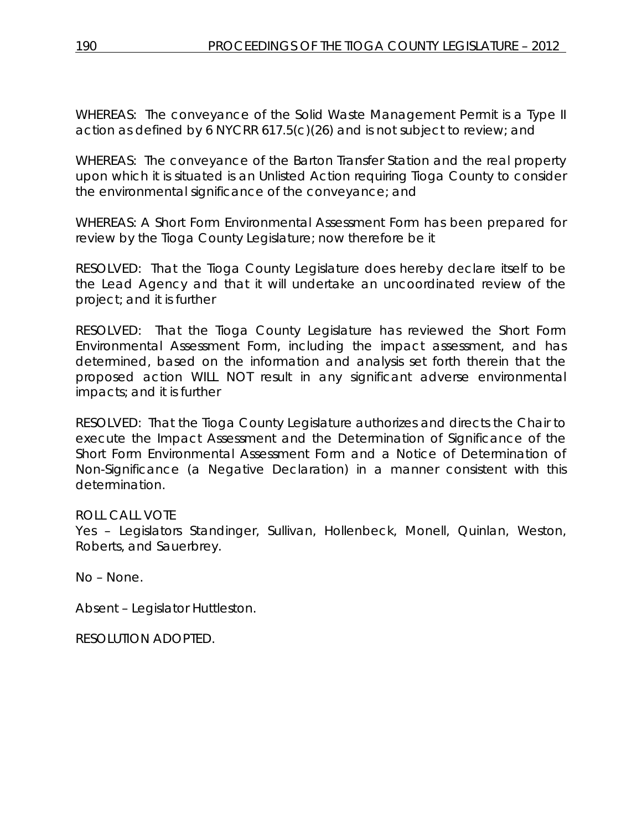WHEREAS: The conveyance of the Solid Waste Management Permit is a Type II action as defined by 6 NYCRR 617.5(c)(26) and is not subject to review; and

WHEREAS: The conveyance of the Barton Transfer Station and the real property upon which it is situated is an Unlisted Action requiring Tioga County to consider the environmental significance of the conveyance; and

WHEREAS: A Short Form Environmental Assessment Form has been prepared for review by the Tioga County Legislature; now therefore be it

RESOLVED: That the Tioga County Legislature does hereby declare itself to be the Lead Agency and that it will undertake an uncoordinated review of the project; and it is further

RESOLVED: That the Tioga County Legislature has reviewed the Short Form Environmental Assessment Form, including the impact assessment, and has determined, based on the information and analysis set forth therein that the proposed action WILL NOT result in any significant adverse environmental impacts; and it is further

RESOLVED: That the Tioga County Legislature authorizes and directs the Chair to execute the Impact Assessment and the Determination of Significance of the Short Form Environmental Assessment Form and a Notice of Determination of Non-Significance (a Negative Declaration) in a manner consistent with this determination.

# ROLL CALL VOTE

Yes – Legislators Standinger, Sullivan, Hollenbeck, Monell, Quinlan, Weston, Roberts, and Sauerbrey.

No – None.

Absent – Legislator Huttleston.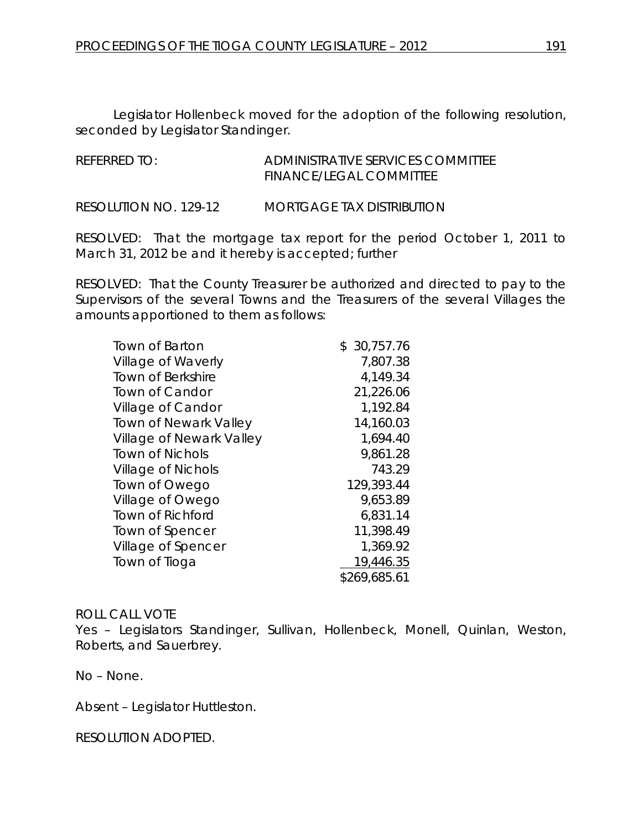Legislator Hollenbeck moved for the adoption of the following resolution, seconded by Legislator Standinger.

| REFERRED TO: | ADMINISTRATIVE SERVICES COMMITTEE |
|--------------|-----------------------------------|
|              | <b>FINANCE/LEGAL COMMITTEE</b>    |
|              |                                   |

RESOLUTION NO. 129-12 *MORTGAGE TAX DISTRIBUTION*

RESOLVED: That the mortgage tax report for the period October 1, 2011 to March 31, 2012 be and it hereby is accepted; further

RESOLVED: That the County Treasurer be authorized and directed to pay to the Supervisors of the several Towns and the Treasurers of the several Villages the amounts apportioned to them as follows:

| <b>Town of Barton</b>        | 30,757.76<br>\$ |
|------------------------------|-----------------|
| Village of Waverly           | 7,807.38        |
| <b>Town of Berkshire</b>     | 4,149.34        |
| <b>Town of Candor</b>        | 21,226.06       |
| Village of Candor            | 1,192.84        |
| <b>Town of Newark Valley</b> | 14,160.03       |
| Village of Newark Valley     | 1,694.40        |
| <b>Town of Nichols</b>       | 9,861.28        |
| <b>Village of Nichols</b>    | 743.29          |
| Town of Owego                | 129,393.44      |
| Village of Owego             | 9,653.89        |
| Town of Richford             | 6,831.14        |
| Town of Spencer              | 11,398.49       |
| Village of Spencer           | 1,369.92        |
| Town of Tioga                | 19,446.35       |
|                              | \$269,685.61    |

#### ROLL CALL VOTE

Yes – Legislators Standinger, Sullivan, Hollenbeck, Monell, Quinlan, Weston, Roberts, and Sauerbrey.

No – None.

Absent – Legislator Huttleston.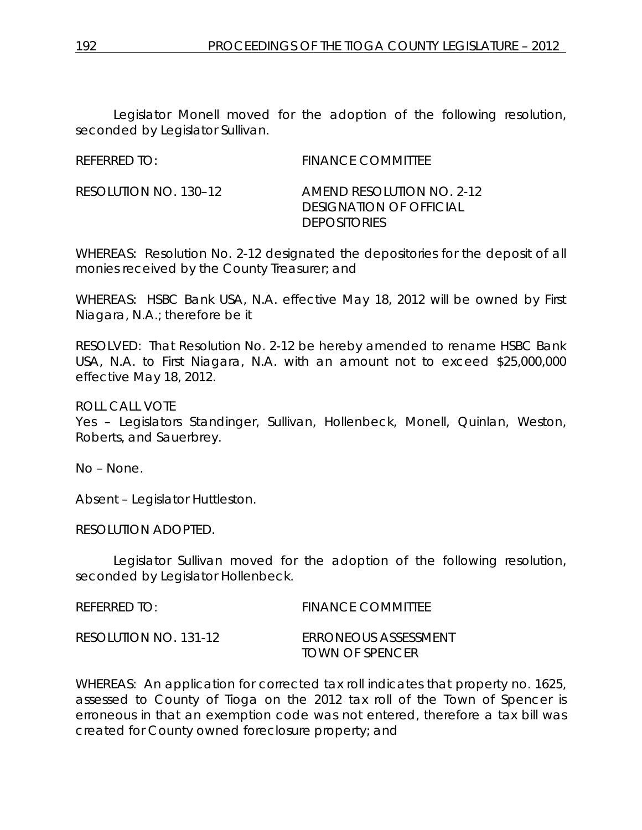Legislator Monell moved for the adoption of the following resolution, seconded by Legislator Sullivan.

| <b>REFERRED TO:</b> | <b>FINANCE COMMITTEE</b> |
|---------------------|--------------------------|

RESOLUTION NO. 130–12 *AMEND RESOLUTION NO. 2-12 DESIGNATION OF OFFICIAL DEPOSITORIES*

WHEREAS: Resolution No. 2-12 designated the depositories for the deposit of all monies received by the County Treasurer; and

WHEREAS: HSBC Bank USA, N.A. effective May 18, 2012 will be owned by First Niagara, N.A.; therefore be it

RESOLVED: That Resolution No. 2-12 be hereby amended to rename HSBC Bank USA, N.A. to First Niagara, N.A. with an amount not to exceed \$25,000,000 effective May 18, 2012.

ROLL CALL VOTE Yes – Legislators Standinger, Sullivan, Hollenbeck, Monell, Quinlan, Weston, Roberts, and Sauerbrey.

No – None.

Absent – Legislator Huttleston.

RESOLUTION ADOPTED.

Legislator Sullivan moved for the adoption of the following resolution, seconded by Legislator Hollenbeck.

| REFERRED TO:          | <b>FINANCE COMMITTEE</b>                       |
|-----------------------|------------------------------------------------|
| RESOLUTION NO. 131-12 | ERRONEOUS ASSESSMENT<br><b>TOWN OF SPENCER</b> |

WHEREAS: An application for corrected tax roll indicates that property no. 1625, assessed to County of Tioga on the 2012 tax roll of the Town of Spencer is erroneous in that an exemption code was not entered, therefore a tax bill was created for County owned foreclosure property; and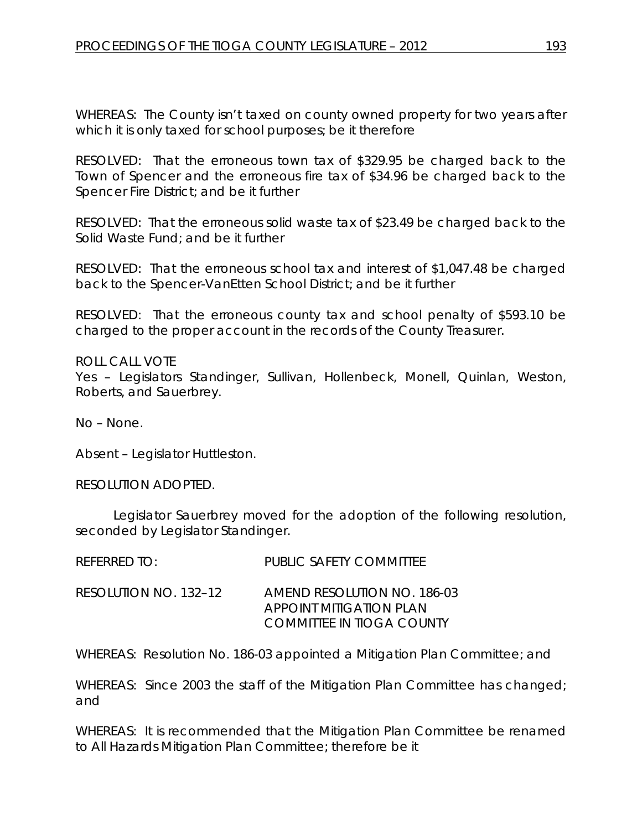WHEREAS: The County isn't taxed on county owned property for two years after which it is only taxed for school purposes; be it therefore

RESOLVED: That the erroneous town tax of \$329.95 be charged back to the Town of Spencer and the erroneous fire tax of \$34.96 be charged back to the Spencer Fire District; and be it further

RESOLVED: That the erroneous solid waste tax of \$23.49 be charged back to the Solid Waste Fund; and be it further

RESOLVED: That the erroneous school tax and interest of \$1,047.48 be charged back to the Spencer-VanEtten School District; and be it further

RESOLVED: That the erroneous county tax and school penalty of \$593.10 be charged to the proper account in the records of the County Treasurer.

ROLL CALL VOTE Yes – Legislators Standinger, Sullivan, Hollenbeck, Monell, Quinlan, Weston, Roberts, and Sauerbrey.

No – None.

Absent – Legislator Huttleston.

RESOLUTION ADOPTED.

Legislator Sauerbrey moved for the adoption of the following resolution, seconded by Legislator Standinger.

| REFERRED TO:          | PUBLIC SAFETY COMMITTEE                                                                    |
|-----------------------|--------------------------------------------------------------------------------------------|
| RESOLUTION NO. 132–12 | AMEND RESOLUTION NO. 186-03<br>APPOINT MITIGATION PLAN<br><b>COMMITTEE IN TIOGA COUNTY</b> |

WHEREAS: Resolution No. 186-03 appointed a Mitigation Plan Committee; and

WHEREAS: Since 2003 the staff of the Mitigation Plan Committee has changed; and

WHEREAS: It is recommended that the Mitigation Plan Committee be renamed to All Hazards Mitigation Plan Committee; therefore be it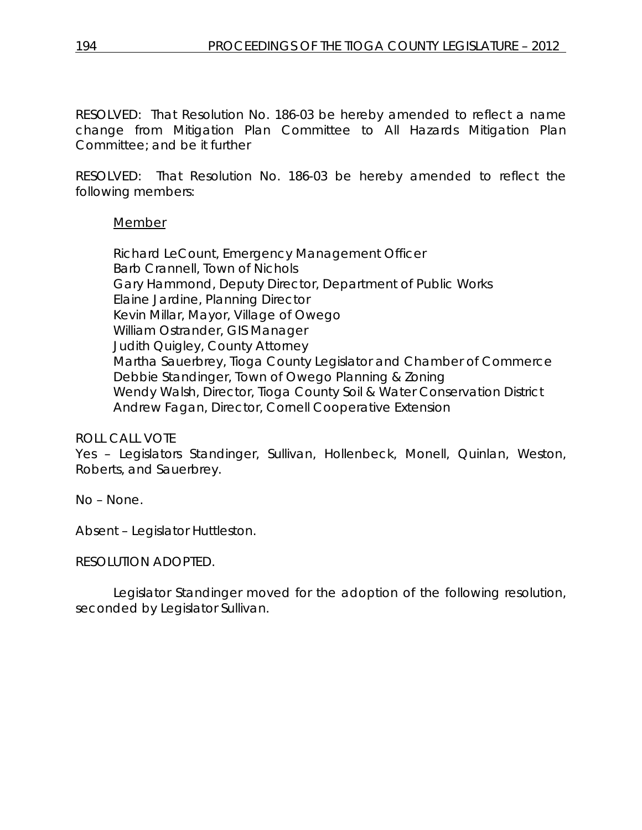RESOLVED: That Resolution No. 186-03 be hereby amended to reflect a name change from Mitigation Plan Committee to All Hazards Mitigation Plan Committee; and be it further

RESOLVED: That Resolution No. 186-03 be hereby amended to reflect the following members:

# Member

Richard LeCount, Emergency Management Officer Barb Crannell, Town of Nichols Gary Hammond, Deputy Director, Department of Public Works Elaine Jardine, Planning Director Kevin Millar, Mayor, Village of Owego William Ostrander, GIS Manager Judith Quigley, County Attorney Martha Sauerbrey, Tioga County Legislator and Chamber of Commerce Debbie Standinger, Town of Owego Planning & Zoning Wendy Walsh, Director, Tioga County Soil & Water Conservation District Andrew Fagan, Director, Cornell Cooperative Extension

# ROLL CALL VOTE

Yes – Legislators Standinger, Sullivan, Hollenbeck, Monell, Quinlan, Weston, Roberts, and Sauerbrey.

No – None.

Absent – Legislator Huttleston.

# RESOLUTION ADOPTED.

Legislator Standinger moved for the adoption of the following resolution, seconded by Legislator Sullivan.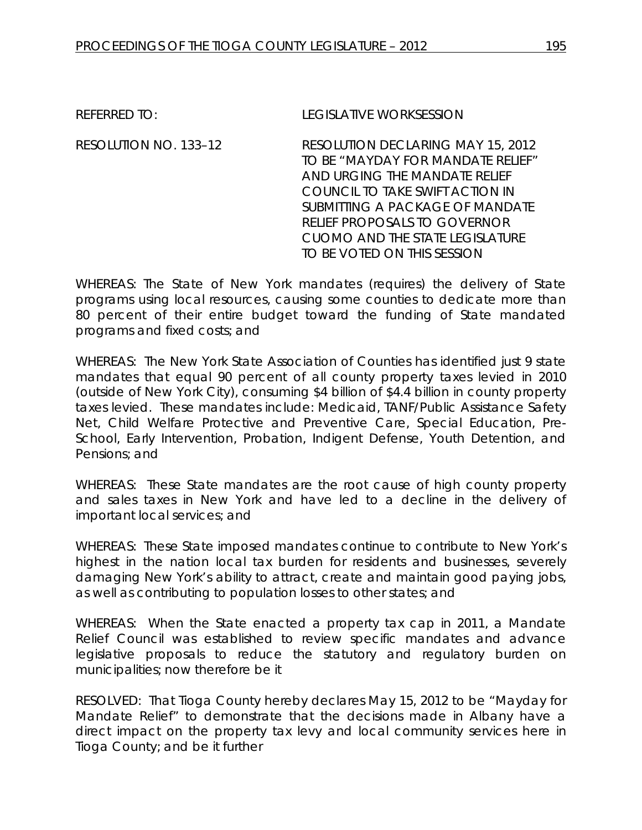REFERRED TO: LEGISLATIVE WORKSESSION

RESOLUTION NO. 133–12 *RESOLUTION DECLARING MAY 15, 2012 TO BE "MAYDAY FOR MANDATE RELIEF" AND URGING THE MANDATE RELIEF COUNCIL TO TAKE SWIFT ACTION IN SUBMITTING A PACKAGE OF MANDATE RELIEF PROPOSALS TO GOVERNOR CUOMO AND THE STATE LEGISLATURE TO BE VOTED ON THIS SESSION*

WHEREAS: The State of New York mandates (requires) the delivery of State programs using local resources, causing some counties to dedicate more than 80 percent of their entire budget toward the funding of State mandated programs and fixed costs; and

WHEREAS: The New York State Association of Counties has identified just 9 state mandates that equal 90 percent of all county property taxes levied in 2010 (outside of New York City), consuming \$4 billion of \$4.4 billion in county property taxes levied. These mandates include: Medicaid, TANF/Public Assistance Safety Net, Child Welfare Protective and Preventive Care, Special Education, Pre-School, Early Intervention, Probation, Indigent Defense, Youth Detention, and Pensions; and

WHEREAS: These State mandates are the root cause of high county property and sales taxes in New York and have led to a decline in the delivery of important local services; and

WHEREAS: These State imposed mandates continue to contribute to New York's highest in the nation local tax burden for residents and businesses, severely damaging New York's ability to attract, create and maintain good paying jobs, as well as contributing to population losses to other states; and

WHEREAS: When the State enacted a property tax cap in 2011, a Mandate Relief Council was established to review specific mandates and advance legislative proposals to reduce the statutory and regulatory burden on municipalities; now therefore be it

RESOLVED: That Tioga County hereby declares May 15, 2012 to be "Mayday for Mandate Relief" to demonstrate that the decisions made in Albany have a direct impact on the property tax levy and local community services here in Tioga County; and be it further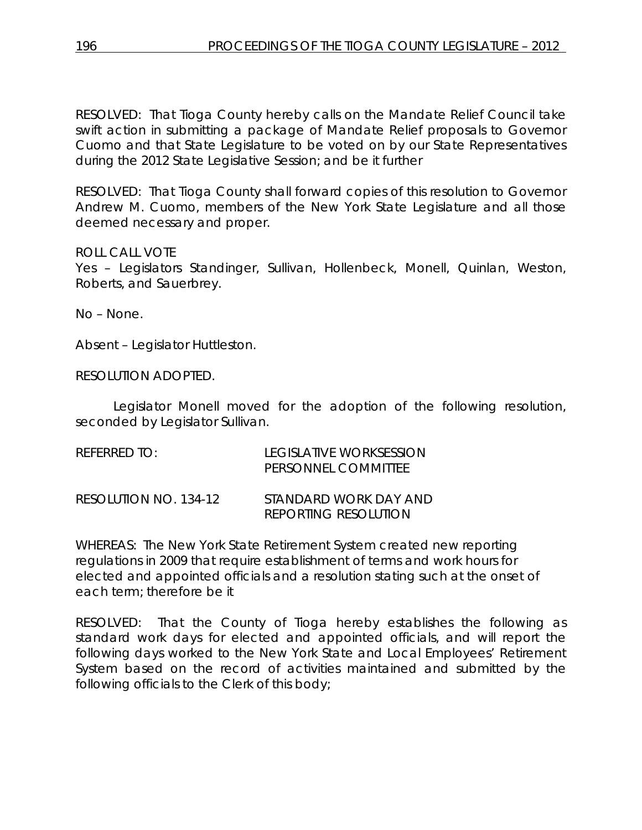RESOLVED: That Tioga County hereby calls on the Mandate Relief Council take swift action in submitting a package of Mandate Relief proposals to Governor Cuomo and that State Legislature to be voted on by our State Representatives during the 2012 State Legislative Session; and be it further

RESOLVED: That Tioga County shall forward copies of this resolution to Governor Andrew M. Cuomo, members of the New York State Legislature and all those deemed necessary and proper.

# ROLL CALL VOTE

Yes – Legislators Standinger, Sullivan, Hollenbeck, Monell, Quinlan, Weston, Roberts, and Sauerbrey.

No – None.

Absent – Legislator Huttleston.

RESOLUTION ADOPTED.

Legislator Monell moved for the adoption of the following resolution, seconded by Legislator Sullivan.

| REFERRED TO:          | LEGISLATIVE WORKSESSION<br>PERSONNEL COMMITTEE       |
|-----------------------|------------------------------------------------------|
| RESOLUTION NO. 134-12 | STANDARD WORK DAY AND<br><b>REPORTING RESOLUTION</b> |

WHEREAS: The New York State Retirement System created new reporting regulations in 2009 that require establishment of terms and work hours for elected and appointed officials and a resolution stating such at the onset of each term; therefore be it

RESOLVED: That the County of Tioga hereby establishes the following as standard work days for elected and appointed officials, and will report the following days worked to the New York State and Local Employees' Retirement System based on the record of activities maintained and submitted by the following officials to the Clerk of this body;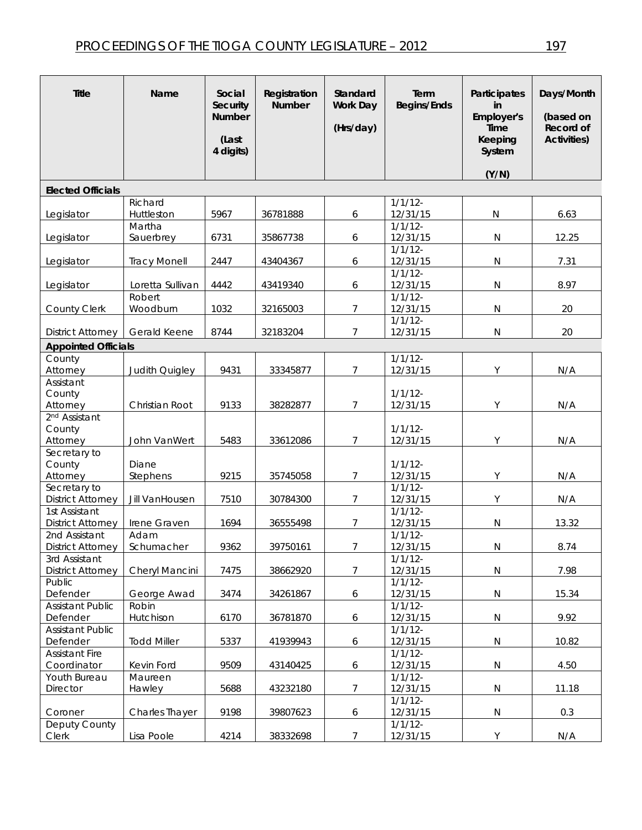| <b>Title</b>                        | Name                | Social<br><b>Security</b><br><b>Number</b><br>(Last<br>4 digits) | Registration<br><b>Number</b> | Standard<br>Work Day<br>(Hrs/day) | Term<br><b>Begins/Ends</b> | Participates<br>in<br>Employer's<br>Time<br>Keeping<br>System | Days/Month<br>(based on<br>Record of<br><b>Activities)</b> |
|-------------------------------------|---------------------|------------------------------------------------------------------|-------------------------------|-----------------------------------|----------------------------|---------------------------------------------------------------|------------------------------------------------------------|
|                                     |                     |                                                                  |                               |                                   |                            | (Y/N)                                                         |                                                            |
| <b>Elected Officials</b>            |                     |                                                                  |                               |                                   |                            |                                                               |                                                            |
|                                     | Richard             |                                                                  |                               |                                   | $1/1/12$ -                 |                                                               |                                                            |
| Legislator                          | Huttleston          | 5967                                                             | 36781888                      | 6                                 | 12/31/15                   | N                                                             | 6.63                                                       |
|                                     | Martha              |                                                                  |                               |                                   | $1/1/12$ -                 |                                                               |                                                            |
| Legislator                          | Sauerbrey           | 6731                                                             | 35867738                      | 6                                 | 12/31/15                   | $\mathsf{N}$                                                  | 12.25                                                      |
|                                     |                     |                                                                  |                               |                                   | $1/1/12$ -                 |                                                               |                                                            |
| Legislator                          | <b>Tracy Monell</b> | 2447                                                             | 43404367                      | 6                                 | 12/31/15                   | ${\sf N}$                                                     | 7.31                                                       |
|                                     |                     |                                                                  |                               |                                   | $1/1/12$ -                 |                                                               |                                                            |
| Legislator                          | Loretta Sullivan    | 4442                                                             | 43419340                      | 6                                 | 12/31/15                   | ${\sf N}$                                                     | 8.97                                                       |
|                                     | Robert              |                                                                  |                               |                                   | 1/1/12                     |                                                               |                                                            |
| County Clerk                        | Woodburn            | 1032                                                             | 32165003                      | 7                                 | 12/31/15                   | $\mathsf{N}$                                                  | 20                                                         |
|                                     |                     |                                                                  |                               |                                   | $1/1/12$ -                 |                                                               |                                                            |
| <b>District Attorney</b>            | Gerald Keene        | 8744                                                             | 32183204                      | $\overline{7}$                    | 12/31/15                   | $\mathsf{N}$                                                  | 20                                                         |
| <b>Appointed Officials</b>          |                     |                                                                  |                               |                                   |                            |                                                               |                                                            |
| County                              |                     |                                                                  |                               |                                   | $1/1/12$ -                 |                                                               |                                                            |
| Attorney                            | Judith Quigley      | 9431                                                             | 33345877                      | $\overline{7}$                    | 12/31/15                   | Y                                                             | N/A                                                        |
| Assistant                           |                     |                                                                  |                               |                                   |                            |                                                               |                                                            |
| County                              |                     |                                                                  |                               |                                   | $1/1/12$ -                 |                                                               |                                                            |
| Attorney                            | Christian Root      | 9133                                                             | 38282877                      | $\overline{7}$                    | 12/31/15                   | Y                                                             | N/A                                                        |
| 2 <sup>nd</sup> Assistant<br>County |                     |                                                                  |                               |                                   | $1/1/12$ -                 |                                                               |                                                            |
| Attorney                            | John VanWert        | 5483                                                             | 33612086                      | 7                                 | 12/31/15                   | Y                                                             | N/A                                                        |
| Secretary to                        |                     |                                                                  |                               |                                   |                            |                                                               |                                                            |
| County                              | Diane               |                                                                  |                               |                                   | 1/1/12                     |                                                               |                                                            |
| Attorney                            | Stephens            | 9215                                                             | 35745058                      | $\overline{7}$                    | 12/31/15                   | Y                                                             | N/A                                                        |
| Secretary to                        |                     |                                                                  |                               |                                   | $1/1/12$ -                 |                                                               |                                                            |
| <b>District Attorney</b>            | Jill VanHousen      | 7510                                                             | 30784300                      | $\overline{7}$                    | 12/31/15                   | Y                                                             | N/A                                                        |
| 1st Assistant                       |                     |                                                                  |                               |                                   | $1/1/12$ -                 |                                                               |                                                            |
| <b>District Attorney</b>            | Irene Graven        | 1694                                                             | 36555498                      | 7                                 | 12/31/15                   | $\mathsf{N}$                                                  | 13.32                                                      |
| 2nd Assistant                       | Adam                |                                                                  |                               |                                   | $1/1/12$ -                 |                                                               |                                                            |
| <b>District Attorney</b>            | Schumacher          | 9362                                                             | 39750161                      | $\overline{7}$                    | 12/31/15                   | $\mathsf{N}$                                                  | 8.74                                                       |
| 3rd Assistant                       |                     |                                                                  |                               |                                   | $1/1/12$ -                 |                                                               |                                                            |
| <b>District Attorney</b>            | Cheryl Mancini      | 7475                                                             | 38662920                      | $7\overline{ }$                   | 12/31/15                   | $\mathsf{N}$                                                  | 7.98                                                       |
| Public                              |                     |                                                                  |                               |                                   | $1/1/12$ -                 |                                                               |                                                            |
| Defender                            | George Awad         | 3474                                                             | 34261867                      | 6                                 | 12/31/15                   | $\mathsf{N}$                                                  | 15.34                                                      |
| <b>Assistant Public</b>             | Robin               |                                                                  |                               |                                   | $1/1/12$ -                 |                                                               |                                                            |
| Defender                            | Hutchison           | 6170                                                             | 36781870                      | 6                                 | 12/31/15                   | $\mathsf{N}$                                                  | 9.92                                                       |
| <b>Assistant Public</b>             |                     |                                                                  |                               |                                   | $1/1/12$ -                 |                                                               |                                                            |
| Defender                            | <b>Todd Miller</b>  | 5337                                                             | 41939943                      | 6                                 | 12/31/15                   | $\mathsf{N}$                                                  | 10.82                                                      |
| <b>Assistant Fire</b>               |                     |                                                                  |                               |                                   | $1/1/12$ -                 |                                                               |                                                            |
| Coordinator                         | Kevin Ford          | 9509                                                             | 43140425                      | 6                                 | 12/31/15                   | ${\sf N}$                                                     | 4.50                                                       |
| Youth Bureau                        | Maureen             |                                                                  |                               | $\overline{7}$                    | $1/1/12$ -                 |                                                               |                                                            |
| Director                            | Hawley              | 5688                                                             | 43232180                      |                                   | 12/31/15<br>$1/1/12$ -     | $\mathsf{N}$                                                  | 11.18                                                      |
| Coroner                             | Charles Thayer      | 9198                                                             | 39807623                      | 6                                 | 12/31/15                   | ${\sf N}$                                                     | 0.3                                                        |
| Deputy County                       |                     |                                                                  |                               |                                   | $1/1/12$ -                 |                                                               |                                                            |
| Clerk                               | Lisa Poole          | 4214                                                             | 38332698                      | $\overline{7}$                    | 12/31/15                   | $\mathsf Y$                                                   | N/A                                                        |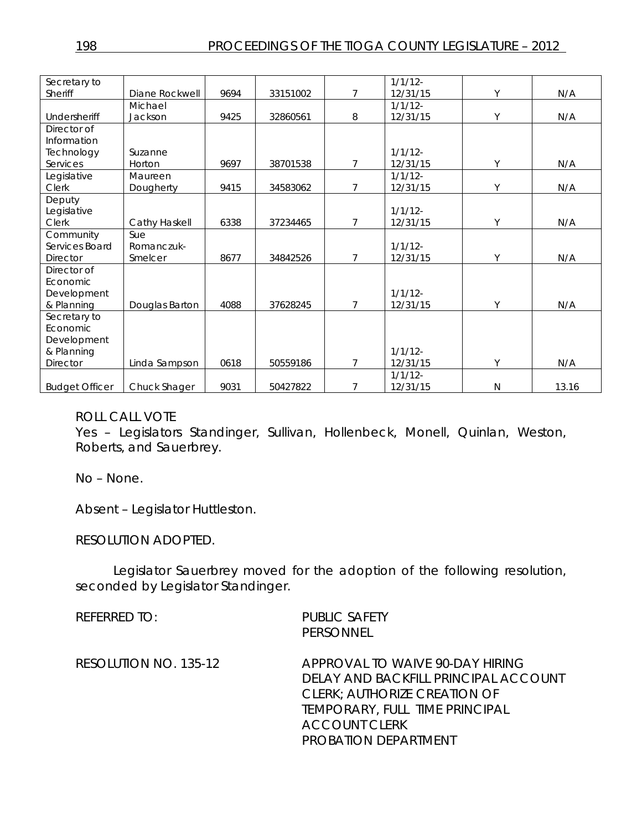| Secretary to                |                |      |          |                | $1/1/12$ - |              |       |
|-----------------------------|----------------|------|----------|----------------|------------|--------------|-------|
| Sheriff                     | Diane Rockwell | 9694 | 33151002 | 7              | 12/31/15   | Υ            | N/A   |
|                             | Michael        |      |          |                | $1/1/12$ - |              |       |
| Undersheriff                | Jackson        | 9425 | 32860561 | 8              | 12/31/15   | Υ            | N/A   |
| Director of                 |                |      |          |                |            |              |       |
| Information                 |                |      |          |                |            |              |       |
| Technology                  | Suzanne        |      |          |                | $1/1/12$ - |              |       |
| Services                    | Horton         | 9697 | 38701538 | $\overline{7}$ | 12/31/15   | Y            | N/A   |
| Legislative                 | Maureen        |      |          |                | $1/1/12$ - |              |       |
| Clerk                       | Dougherty      | 9415 | 34583062 | 7              | 12/31/15   | Y            | N/A   |
| Deputy                      |                |      |          |                | 1/1/12     |              |       |
| Legislative<br><b>Clerk</b> | Cathy Haskell  | 6338 | 37234465 | 7              | 12/31/15   | Y            | N/A   |
| Community                   | Sue            |      |          |                |            |              |       |
| Services Board              | Romanczuk-     |      |          |                | 1/1/12     |              |       |
| Director                    | Smelcer        | 8677 | 34842526 | $\overline{7}$ | 12/31/15   | Υ            | N/A   |
| Director of                 |                |      |          |                |            |              |       |
| Economic                    |                |      |          |                |            |              |       |
| Development                 |                |      |          |                | 1/1/12     |              |       |
| & Planning                  | Douglas Barton | 4088 | 37628245 | 7              | 12/31/15   | Y            | N/A   |
| Secretary to                |                |      |          |                |            |              |       |
| Economic                    |                |      |          |                |            |              |       |
| Development                 |                |      |          |                |            |              |       |
| & Planning                  |                |      |          |                | 1/1/12     |              |       |
| Director                    | Linda Sampson  | 0618 | 50559186 | 7              | 12/31/15   | Y            | N/A   |
|                             |                |      |          |                | $1/1/12$ - |              |       |
| <b>Budget Officer</b>       | Chuck Shager   | 9031 | 50427822 | 7              | 12/31/15   | $\mathsf{N}$ | 13.16 |

#### ROLL CALL VOTE

Yes – Legislators Standinger, Sullivan, Hollenbeck, Monell, Quinlan, Weston, Roberts, and Sauerbrey.

No – None.

Absent – Legislator Huttleston.

RESOLUTION ADOPTED.

Legislator Sauerbrey moved for the adoption of the following resolution, seconded by Legislator Standinger.

| REFERRED TO:          | <b>PUBLIC SAFETY</b><br>PERSONNEL                                                                                                                                                                       |
|-----------------------|---------------------------------------------------------------------------------------------------------------------------------------------------------------------------------------------------------|
| RESOLUTION NO. 135-12 | APPROVAL TO WAIVE 90-DAY HIRING<br>DELAY AND BACKFILL PRINCIPAL ACCOUNT<br><b>CLERK: AUTHORIZE CREATION OF</b><br><b>TEMPORARY, FULL TIME PRINCIPAL</b><br><b>ACCOUNT CLERK</b><br>PROBATION DEPARTMENT |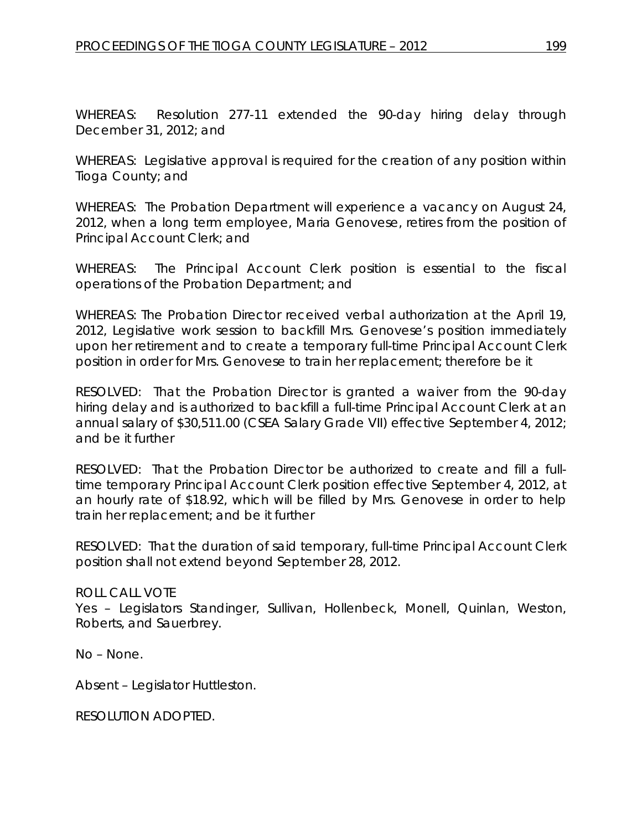WHEREAS: Resolution 277-11 extended the 90-day hiring delay through December 31, 2012; and

WHEREAS: Legislative approval is required for the creation of any position within Tioga County; and

WHEREAS: The Probation Department will experience a vacancy on August 24, 2012, when a long term employee, Maria Genovese, retires from the position of Principal Account Clerk; and

WHEREAS: The Principal Account Clerk position is essential to the fiscal operations of the Probation Department; and

WHEREAS: The Probation Director received verbal authorization at the April 19, 2012, Legislative work session to backfill Mrs. Genovese's position immediately upon her retirement and to create a temporary full-time Principal Account Clerk position in order for Mrs. Genovese to train her replacement; therefore be it

RESOLVED: That the Probation Director is granted a waiver from the 90-day hiring delay and is authorized to backfill a full-time Principal Account Clerk at an annual salary of \$30,511.00 (CSEA Salary Grade VII) effective September 4, 2012; and be it further

RESOLVED: That the Probation Director be authorized to create and fill a fulltime temporary Principal Account Clerk position effective September 4, 2012, at an hourly rate of \$18.92, which will be filled by Mrs. Genovese in order to help train her replacement; and be it further

RESOLVED: That the duration of said temporary, full-time Principal Account Clerk position shall not extend beyond September 28, 2012.

# ROLL CALL VOTE

Yes – Legislators Standinger, Sullivan, Hollenbeck, Monell, Quinlan, Weston, Roberts, and Sauerbrey.

No – None.

Absent – Legislator Huttleston.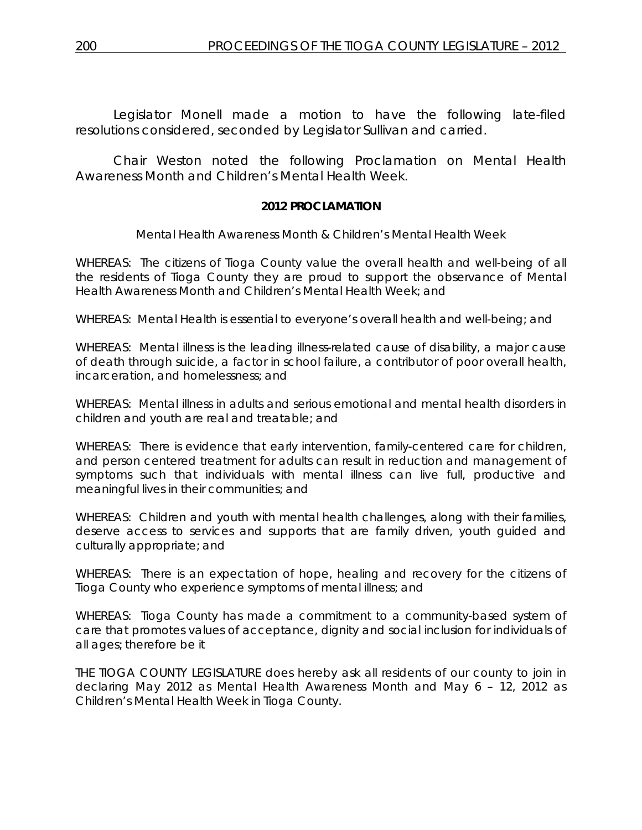Legislator Monell made a motion to have the following late-filed resolutions considered, seconded by Legislator Sullivan and carried.

Chair Weston noted the following Proclamation on Mental Health Awareness Month and Children's Mental Health Week.

#### **2012 PROCLAMATION**

*Mental Health Awareness Month & Children's Mental Health Week* 

WHEREAS: The citizens of Tioga County value the overall health and well-being of all the residents of Tioga County they are proud to support the observance of Mental Health Awareness Month and Children's Mental Health Week; and

WHEREAS: Mental Health is essential to everyone's overall health and well-being; and

WHEREAS: Mental illness is the leading illness-related cause of disability, a major cause of death through suicide, a factor in school failure, a contributor of poor overall health, incarceration, and homelessness; and

WHEREAS: Mental illness in adults and serious emotional and mental health disorders in children and youth are real and treatable; and

WHEREAS: There is evidence that early intervention, family-centered care for children, and person centered treatment for adults can result in reduction and management of symptoms such that individuals with mental illness can live full, productive and meaningful lives in their communities; and

WHEREAS: Children and youth with mental health challenges, along with their families, deserve access to services and supports that are family driven, youth guided and culturally appropriate; and

WHEREAS: There is an expectation of hope, healing and recovery for the citizens of Tioga County who experience symptoms of mental illness; and

WHEREAS: Tioga County has made a commitment to a community-based system of care that promotes values of acceptance, dignity and social inclusion for individuals of all ages; therefore be it

THE TIOGA COUNTY LEGISLATURE does hereby ask all residents of our county to join in declaring May 2012 as *Mental Health Awareness Month* and May 6 – 12, 2012 as *Children's Mental Health Week* in Tioga County.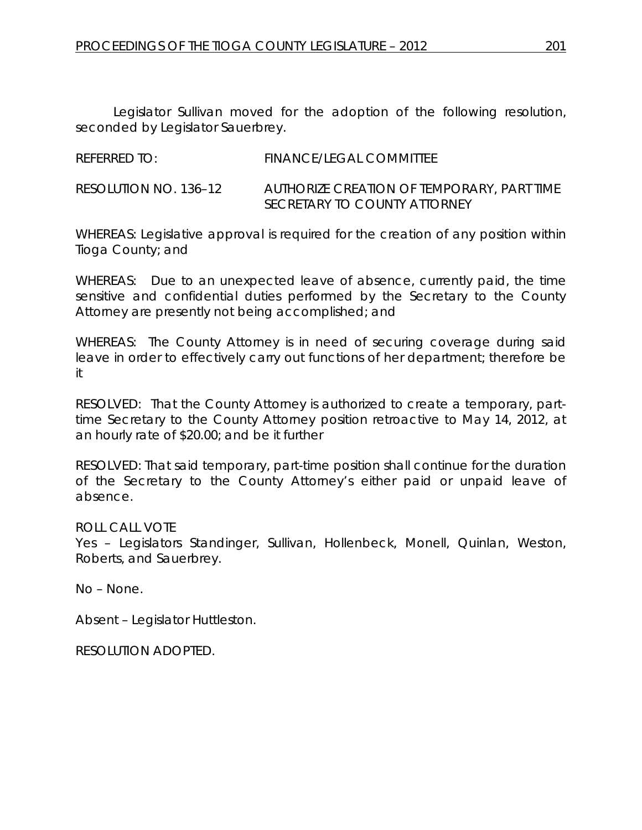Legislator Sullivan moved for the adoption of the following resolution, seconded by Legislator Sauerbrey.

REFERRED TO: FINANCE/LEGAL COMMITTEE

RESOLUTION NO. 136–12 *AUTHORIZE CREATION OF TEMPORARY, PART TIME SECRETARY TO COUNTY ATTORNEY* 

WHEREAS: Legislative approval is required for the creation of any position within Tioga County; and

WHEREAS: Due to an unexpected leave of absence, currently paid, the time sensitive and confidential duties performed by the Secretary to the County Attorney are presently not being accomplished; and

WHEREAS: The County Attorney is in need of securing coverage during said leave in order to effectively carry out functions of her department; therefore be it

RESOLVED: That the County Attorney is authorized to create a temporary, parttime Secretary to the County Attorney position retroactive to May 14, 2012, at an hourly rate of \$20.00; and be it further

RESOLVED: That said temporary, part-time position shall continue for the duration of the Secretary to the County Attorney's either paid or unpaid leave of absence.

ROLL CALL VOTE

Yes – Legislators Standinger, Sullivan, Hollenbeck, Monell, Quinlan, Weston, Roberts, and Sauerbrey.

No – None.

Absent – Legislator Huttleston.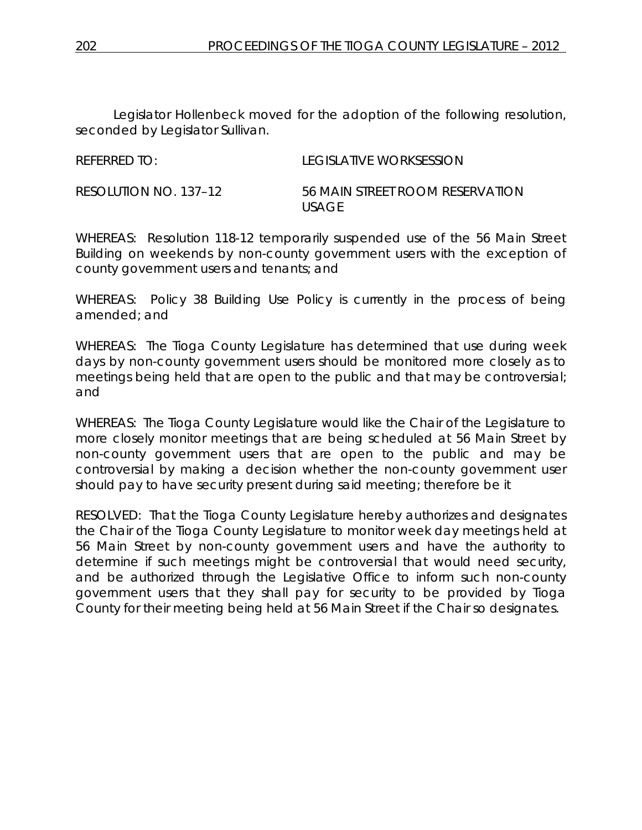Legislator Hollenbeck moved for the adoption of the following resolution, seconded by Legislator Sullivan.

| REFERRED TO:          | LEGISLATIVE WORKSESSION                   |
|-----------------------|-------------------------------------------|
| RESOLUTION NO. 137–12 | 56 MAIN STREET ROOM RESERVATION<br>USAGE. |

WHEREAS: Resolution 118-12 temporarily suspended use of the 56 Main Street Building on weekends by non-county government users with the exception of county government users and tenants; and

WHEREAS: Policy 38 Building Use Policy is currently in the process of being amended; and

WHEREAS: The Tioga County Legislature has determined that use during week days by non-county government users should be monitored more closely as to meetings being held that are open to the public and that may be controversial; and

WHEREAS: The Tioga County Legislature would like the Chair of the Legislature to more closely monitor meetings that are being scheduled at 56 Main Street by non-county government users that are open to the public and may be controversial by making a decision whether the non-county government user should pay to have security present during said meeting; therefore be it

RESOLVED: That the Tioga County Legislature hereby authorizes and designates the Chair of the Tioga County Legislature to monitor week day meetings held at 56 Main Street by non-county government users and have the authority to determine if such meetings might be controversial that would need security, and be authorized through the Legislative Office to inform such non-county government users that they shall pay for security to be provided by Tioga County for their meeting being held at 56 Main Street if the Chair so designates.